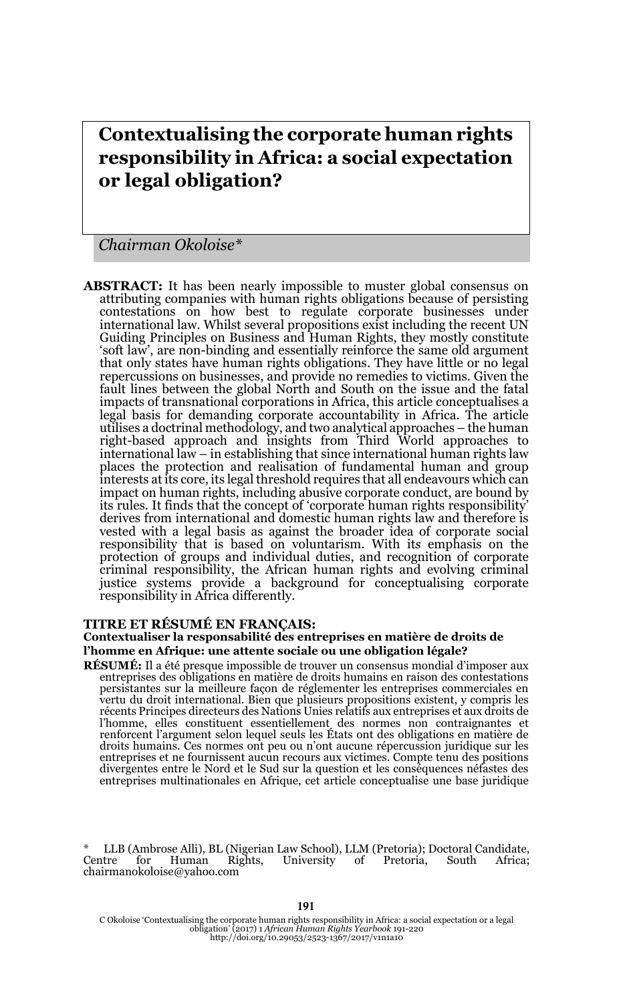# **Contextualising the corporate human rights responsibility in Africa: a social expectation or legal obligation?**

*Chairman Okoloise\** 

**ABSTRACT:** It has been nearly impossible to muster global consensus on attributing companies with human rights obligations because of persisting contestations on how best to regulate corporate businesses under international law. Whilst several propositions exist including the recent UN Guiding Principles on Business and Human Rights, they mostly constitute 'soft law', are non-binding and essentially reinforce the same old argument that only states have human rights obligations. They have little or no legal repercussions on businesses, and provide no remedies to victims. Given the fault lines between the global North and South on the issue and the fatal impacts of transnational corporations in Africa, this article conceptualises a legal basis for demanding corporate accountability in Africa. The article utilises a doctrinal methodology, and two analytical approaches – the human right-based approach and insights from Third World approaches to international law – in establishing that since international human rights law places the protection and realisation of fundamental human and group interests at its core, its legal threshold requires that all endeavours which can impact on human rights, including abusive corporate conduct, are bound by its rules. It finds that the concept of 'corporate human rights responsibility' derives from international and domestic human rights law and therefore is vested with a legal basis as against the broader idea of corporate social responsibility that is based on voluntarism. With it*s* emphasis on the protection of groups and individual duties, and recognition of corporate criminal responsibility, the African human rights and evolving criminal justice systems provide a background for conceptualising corporate responsibility in Africa differently.

#### **TITRE ET RÉSUMÉ EN FRANÇAIS:**

#### **Contextualiser la responsabilité des entreprises en matière de droits de l'homme en Afrique: une attente sociale ou une obligation légale?**

**RÉSUMÉ:** Il a été presque impossible de trouver un consensus mondial d'imposer aux entreprises des obligations en matière de droits humains en raison des contestations persistantes sur la meilleure façon de réglementer les entreprises commerciales en vertu du droit international. Bien que plusieurs propositions existent, y compris les récents Principes directeurs des Nations Unies relatifs aux entreprises et aux droits de l'homme, elles constituent essentiellement des normes non contraignantes et renforcent l'argument selon lequel seuls les États ont des obligations en matière de droits humains. Ces normes ont peu ou n'ont aucune répercussion juridique sur les entreprises et ne fournissent aucun recours aux victimes. Compte tenu des positions divergentes entre le Nord et le Sud sur la question et les conséquences néfastes des entreprises multinationales en Afrique, cet article conceptualise une base juridique

\* LLB (Ambrose Alli), BL (Nigerian Law School), LLM (Pretoria); Doctoral Candidate, Centre for Human Rights, University of Pretoria, South Africa; chairmanokoloise@yahoo.com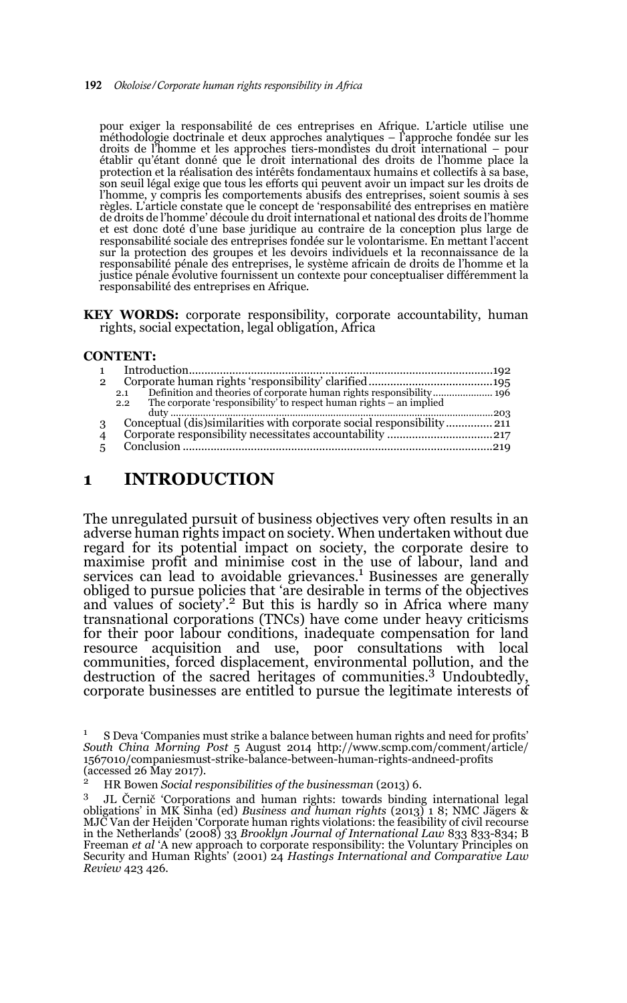#### 192 *Okoloise/Corporate human rights responsibility in Africa*

pour exiger la responsabilité de ces entreprises en Afrique. L'article utilise une méthodologie doctrinale et deux approches analytiques – l'approche fondée sur les droits de l'homme et les approches tiers-mondistes du droit international – pour<br>établir qu'étant donné que le droit international des droits de l'homme place la<br>protection et la réalisation des intérêts fondamentaux humai son seuil légal exige que tous les efforts qui peuvent avoir un impact sur les droits de l'homme, y compris les comportements abusifs des entreprises, soient soumis à ses règles. L'article constate que le concept de 'responsabilité des entreprises en matière de droits de l'homme' découle du droit international et national des droits de l'homme et est donc doté d'une base juridique au contraire de la conception plus large de responsabilité sociale des entreprises fondée sur le volontarisme. En mettant l'accent sur la protection des groupes et les devoirs individuels et la reconnaissance de la responsabilité pénale des entreprises, le système africain de droits de l'homme et la justice pénale évolutive fournissent un contexte pour conceptualiser différemment la responsabilité des entreprises en Afrique.

KEY WORDS: corporate responsibility, corporate accountability, human rights, social expectation, legal obligation, Africa

#### **CONTENT:**

| $\mathcal{P}$  |                                                                             |  |
|----------------|-----------------------------------------------------------------------------|--|
|                | Definition and theories of corporate human rights responsibility 196<br>2.1 |  |
|                | The corporate 'responsibility' to respect human rights – an implied<br>2.2  |  |
|                |                                                                             |  |
| 3              |                                                                             |  |
| $\overline{4}$ |                                                                             |  |
| $5^{\circ}$    |                                                                             |  |
|                |                                                                             |  |

## **1 INTRODUCTION**

The unregulated pursuit of business objectives very often results in an adverse human rights impact on society. When undertaken without due regard for its potential impact on society, the corporate desire to maximise profit and minimise cost in the use of labour, land and services can lead to avoidable grievances.1 Businesses are generally obliged to pursue policies that 'are desirable in terms of the objectives and values of society'.<sup>2</sup> But this is hardly so in Africa where many transnational corporations (TNCs) have come under heavy criticisms for their poor labour conditions, inadequate compensation for land resource acquisition and use, poor consultations with local communities, forced displacement, environmental pollution, and the destruction of the sacred heritages of communities.3 Undoubtedly, corporate businesses are entitled to pursue the legitimate interests of

<sup>&</sup>lt;sup>1</sup> S Deva 'Companies must strike a balance between human rights and need for profits' *South China Morning Post* 5 August 2014 http://www.scmp.com/comment/article/ 1567010/companiesmust-strike-balance-between-human-rights-andneed-profits (accessed 26 May 2017).

<sup>2</sup> HR Bowen *Social responsibilities of the businessman* (2013) 6.

<sup>3</sup> JL Černič 'Corporations and human rights: towards binding international legal obligations' in MK Sinha (ed) *Business and human rights* (2013) 1 8; NMC Jägers & MJC Van der Heijden 'Corporate human rights violations: the feasibility of civil recourse in the Netherlands' (2008) 33 *Brooklyn Journal of International Law* 833 833-834; B Freeman *et al* 'A new approach to corporate responsibility: the Voluntary Principles on Security and Human Rights' (2001) 24 *Hastings International and Comparative Law Review* 423 426.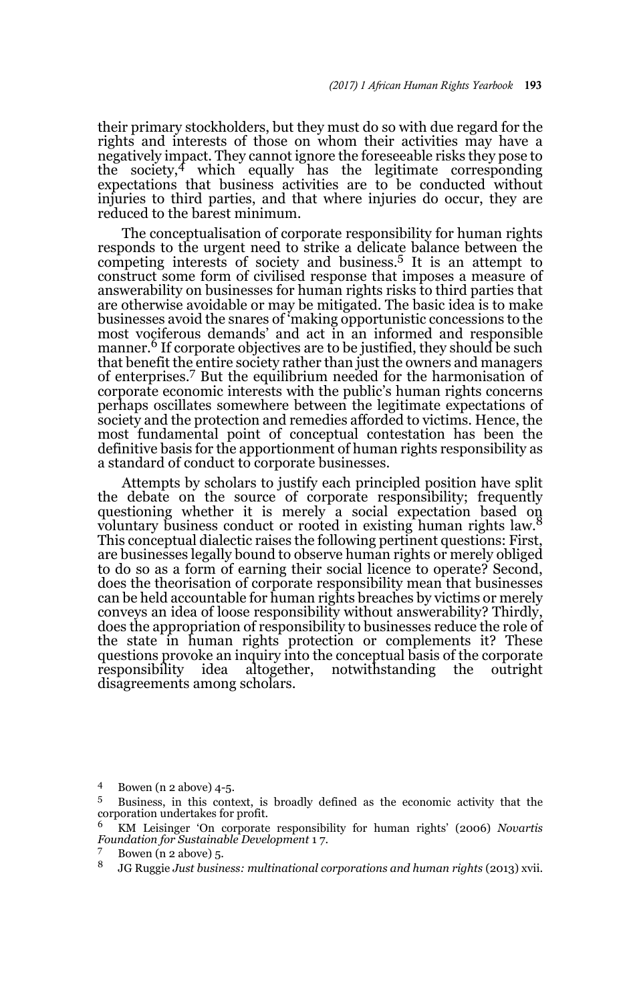their primary stockholders, but they must do so with due regard for the rights and interests of those on whom their activities may have a negatively impact. They cannot ignore the foreseeable risks they pose to the society, $4$  which equally has the legitimate corresponding expectations that business activities are to be conducted without injuries to third parties, and that where injuries do occur, they are reduced to the barest minimum.

The conceptualisation of corporate responsibility for human rights responds to the urgent need to strike a delicate balance between the competing interests of society and business.5 It is an attempt to construct some form of civilised response that imposes a measure of answerability on businesses for human rights risks to third parties that are otherwise avoidable or may be mitigated. The basic idea is to make businesses avoid the snares of 'making opportunistic concessions to the most vociferous demands' and act in an informed and responsible manner.<sup>6</sup> If corporate objectives are to be justified, they should be such that benefit the entire society rather than just the owners and managers of enterprises.7 But the equilibrium needed for the harmonisation of corporate economic interests with the public's human rights concerns perhaps oscillates somewhere between the legitimate expectations of society and the protection and remedies afforded to victims. Hence, the most fundamental point of conceptual contestation has been the definitive basis for the apportionment of human rights responsibility as a standard of conduct to corporate businesses.

Attempts by scholars to justify each principled position have split the debate on the source of corporate responsibility; frequently questioning whether it is merely a social expectation based on voluntary business conduct or rooted in existing human rights law.<sup>8</sup> This conceptual dialectic raises the following pertinent questions: First, are businesses legally bound to observe human rights or merely obliged to do so as a form of earning their social licence to operate? Second, does the theorisation of corporate responsibility mean that businesses can be held accountable for human rights breaches by victims or merely conveys an idea of loose responsibility without answerability? Thirdly, does the appropriation of responsibility to businesses reduce the role of the state in human rights protection or complements it? These questions provoke an inquiry into the conceptual basis of the corporate responsibility idea altogether, notwithstanding the outright disagreements among scholars.

<sup>4</sup> Bowen (n 2 above) 4-5.

<sup>5</sup> Business, in this context, is broadly defined as the economic activity that the corporation undertakes for profit.

<sup>6</sup> KM Leisinger 'On corporate responsibility for human rights' (2006) *Novartis Foundation for Sustainable Development* 1 7.

 $\frac{7}{8}$  Bowen (n 2 above) 5.

<sup>8</sup> JG Ruggie *Just business: multinational corporations and human rights* (2013) xvii.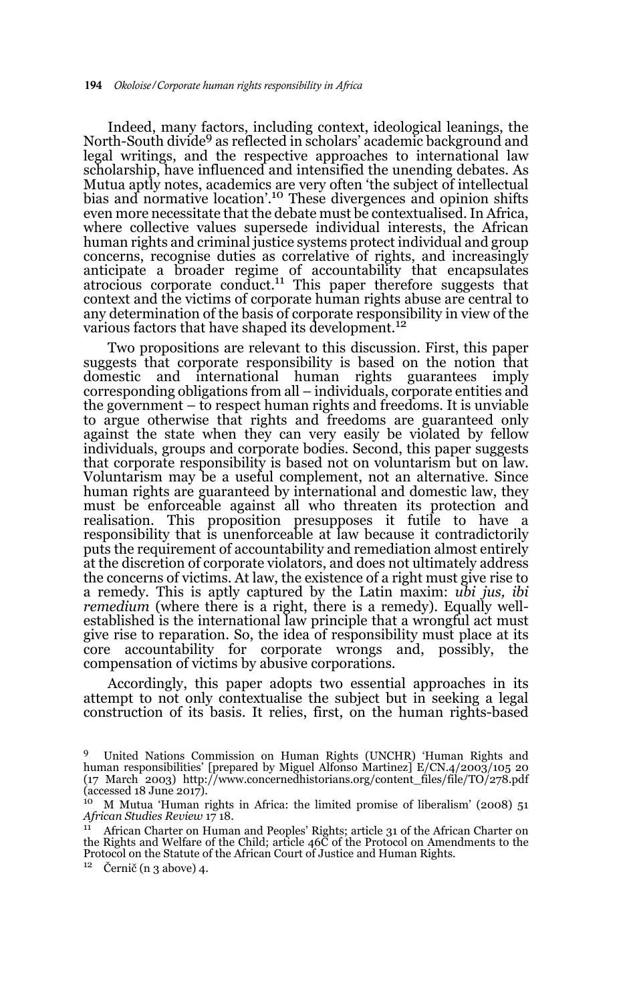Indeed, many factors, including context, ideological leanings, the North-South divide<sup>9</sup> as reflected in scholars' academic background and legal writings, and the respective approaches to international law scholarship, have influenced and intensified the unending debates. As Mutua aptly notes, academics are very often 'the subject of intellectual bias and normative location'.10 These divergences and opinion shifts even more necessitate that the debate must be contextualised. In Africa, where collective values supersede individual interests, the African human rights and criminal justice systems protect individual and group concerns, recognise duties as correlative of rights, and increasingly anticipate a broader regime of accountability that encapsulates atrocious corporate conduct.11 This paper therefore suggests that context and the victims of corporate human rights abuse are central to any determination of the basis of corporate responsibility in view of the various factors that have shaped its development.<sup>12</sup>

Two propositions are relevant to this discussion. First, this paper suggests that corporate responsibility is based on the notion that domestic and international human rights guarantees imply corresponding obligations from all – individuals, corporate entities and the government – to respect human rights and freedoms. It is unviable to argue otherwise that rights and freedoms are guaranteed only against the state when they can very easily be violated by fellow individuals, groups and corporate bodies. Second, this paper suggests that corporate responsibility is based not on voluntarism but on law. Voluntarism may be a useful complement, not an alternative. Since human rights are guaranteed by international and domestic law, they must be enforceable against all who threaten its protection and realisation. This proposition presupposes it futile to have a responsibility that is unenforceable at law because it contradictorily puts the requirement of accountability and remediation almost entirely at the discretion of corporate violators, and does not ultimately address the concerns of victims. At law, the existence of a right must give rise to a remedy. This is aptly captured by the Latin maxim: *ubi jus, ibi remedium* (where there is a right, there is a remedy). Equally wellestablished is the international law principle that a wrongful act must give rise to reparation. So, the idea of responsibility must place at its core accountability for corporate wrongs and, possibly, the compensation of victims by abusive corporations.

Accordingly, this paper adopts two essential approaches in its attempt to not only contextualise the subject but in seeking a legal construction of its basis. It relies, first, on the human rights-based

 $12$  Černič (n 3 above) 4.

<sup>9</sup> United Nations Commission on Human Rights (UNCHR) 'Human Rights and human responsibilities' [prepared by Miguel Alfonso Martinez] E/CN.4/2003/105 20 (17 March 2003) http://www.concernedhistorians.org/content\_files/file/TO/278.pdf  $\frac{10}{10}$  M Mutus  $\frac{1}{10}$  M Mutus  $\frac{1}{10}$ 

<sup>10</sup> M Mutua 'Human rights in Africa: the limited promise of liberalism' (2008) 51 *African Studies Review* 17 18.

<sup>&</sup>lt;sup>11</sup> African Charter on Human and Peoples' Rights; article 31 of the African Charter on the Rights and Welfare of the Child; article 46C of the Protocol on Amendments to the Protocol on the Statute of the African Court of Justice and Human Rights.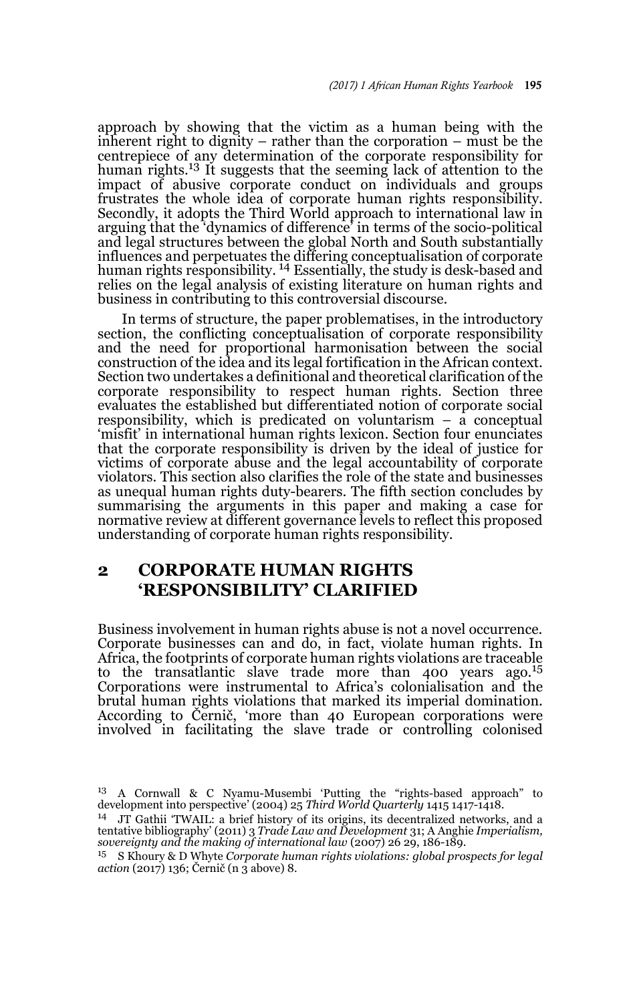approach by showing that the victim as a human being with the inherent right to dignity – rather than the corporation – must be the centrepiece of any determination of the corporate responsibility for human rights.<sup>13</sup> It suggests that the seeming lack of attention to the impact of abusive corporate conduct on individuals and groups frustrates the whole idea of corporate human rights responsibility. Secondly, it adopts the Third World approach to international law in arguing that the 'dynamics of difference' in terms of the socio-political and legal structures between the global North and South substantially influences and perpetuates the differing conceptualisation of corporate human rights responsibility.<sup>14</sup> Essentially, the study is desk-based and relies on the legal analysis of existing literature on human rights and business in contributing to this controversial discourse.

In terms of structure, the paper problematises, in the introductory section, the conflicting conceptualisation of corporate responsibility and the need for proportional harmonisation between the social construction of the idea and its legal fortification in the African context. Section two undertakes a definitional and theoretical clarification of the corporate responsibility to respect human rights. Section three evaluates the established but differentiated notion of corporate social responsibility, which is predicated on voluntarism – a conceptual 'misfit' in international human rights lexicon. Section four enunciates that the corporate responsibility is driven by the ideal of justice for victims of corporate abuse and the legal accountability of corporate violators. This section also clarifies the role of the state and businesses as unequal human rights duty-bearers. The fifth section concludes by summarising the arguments in this paper and making a case for normative review at different governance levels to reflect this proposed understanding of corporate human rights responsibility.

# **2 CORPORATE HUMAN RIGHTS 'RESPONSIBILITY' CLARIFIED**

Business involvement in human rights abuse is not a novel occurrence. Corporate businesses can and do, in fact, violate human rights. In Africa, the footprints of corporate human rights violations are traceable to the transatlantic slave trade more than 400 years ago.<sup>15</sup> Corporations were instrumental to Africa's colonialisation and the brutal human rights violations that marked its imperial domination. According to Černič, 'more than 40 European corporations were involved in facilitating the slave trade or controlling colonised

<sup>13</sup> A Cornwall & C Nyamu-Musembi 'Putting the "rights-based approach" to development into perspective' (2004) 25 *Third World Quarterly* 1415 1417-1418.

<sup>&</sup>lt;sup>14</sup> JT Gathii 'TWAIL: a brief history of its origins, its decentralized networks, and a tentative bibliography' (2011) 3 *Trade Law and Development* 31; A Anghie *Imperialism, sovereignty and the making of international law* (2007) 26 29, 186-189.

<sup>15</sup> S Khoury & D Whyte *Corporate human rights violations: global prospects for legal action* (2017) 136; Černič (n 3 above) 8.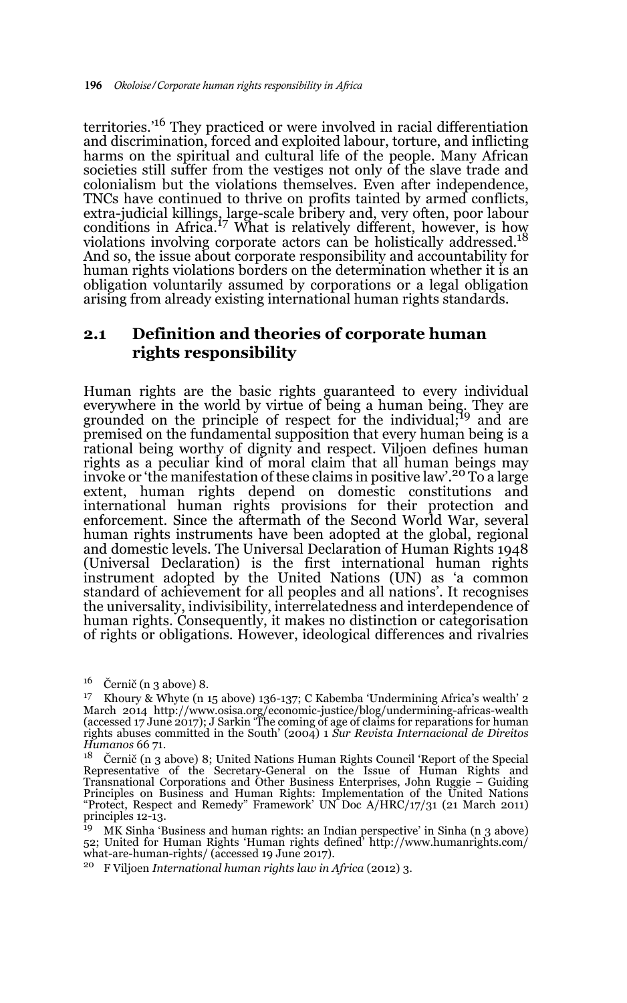territories.'16 They practiced or were involved in racial differentiation and discrimination, forced and exploited labour, torture, and inflicting harms on the spiritual and cultural life of the people. Many African societies still suffer from the vestiges not only of the slave trade and colonialism but the violations themselves. Even after independence, TNCs have continued to thrive on profits tainted by armed conflicts, extra-judicial killings, large-scale bribery and, very often, poor labour<br>conditions in Africa.<sup>17</sup> What is relatively different, however, is how violations involving corporate actors can be holistically addressed.<sup>18</sup> And so, the issue about corporate responsibility and accountability for human rights violations borders on the determination whether it is an obligation voluntarily assumed by corporations or a legal obligation arising from already existing international human rights standards.

### **2.1 Definition and theories of corporate human rights responsibility**

Human rights are the basic rights guaranteed to every individual everywhere in the world by virtue of being a human being. They are grounded on the principle of respect for the individual;<sup>19</sup> and are premised on the fundamental supposition that every human being is a rational being worthy of dignity and respect. Viljoen defines human rights as a peculiar kind of moral claim that all human beings may invoke or 'the manifestation of these claims in positive law'.20 To a large extent, human rights depend on domestic constitutions and international human rights provisions for their protection and enforcement. Since the aftermath of the Second World War, several human rights instruments have been adopted at the global, regional and domestic levels. The Universal Declaration of Human Rights 1948 (Universal Declaration) is the first international human rights instrument adopted by the United Nations (UN) as 'a common standard of achievement for all peoples and all nations'. It recognises the universality, indivisibility, interrelatedness and interdependence of human rights. Consequently, it makes no distinction or categorisation of rights or obligations. However, ideological differences and rivalries

<sup>20</sup> F Viljoen *International human rights law in Africa* (2012) 3.

 $16$  Černič (n 3 above) 8.

<sup>17</sup> Khoury & Whyte (n 15 above) 136-137; C Kabemba 'Undermining Africa's wealth' 2 March 2014 http://www.osisa.org/economic-justice/blog/undermining-africas-wealth (accessed 17 June 2017); J Sarkin 'The coming of age of claims for reparations for human rights abuses committed in the South' (2004) 1 *Sur Revista Internacional de Direitos Humanos* 66 71.

<sup>18</sup> Černič (n 3 above) 8; United Nations Human Rights Council 'Report of the Special Representative of the Secretary-General on the Issue of Human Rights and Transnational Corporations and Other Business Enterprises, John Ruggie – Guiding<br>Principles on Business and Human Rights: Implementation of the United Nations<br>"Protect, Respect and Remedy" Framework' UN Doc A/HRC/17/31 (21 principles 12-13.

 $19$  MK Sinha 'Business and human rights: an Indian perspective' in Sinha (n 3 above) 52; United for Human Rights 'Human rights defined' http://www.humanrights.com/ what-are-human-rights/ (accessed 19 June 2017).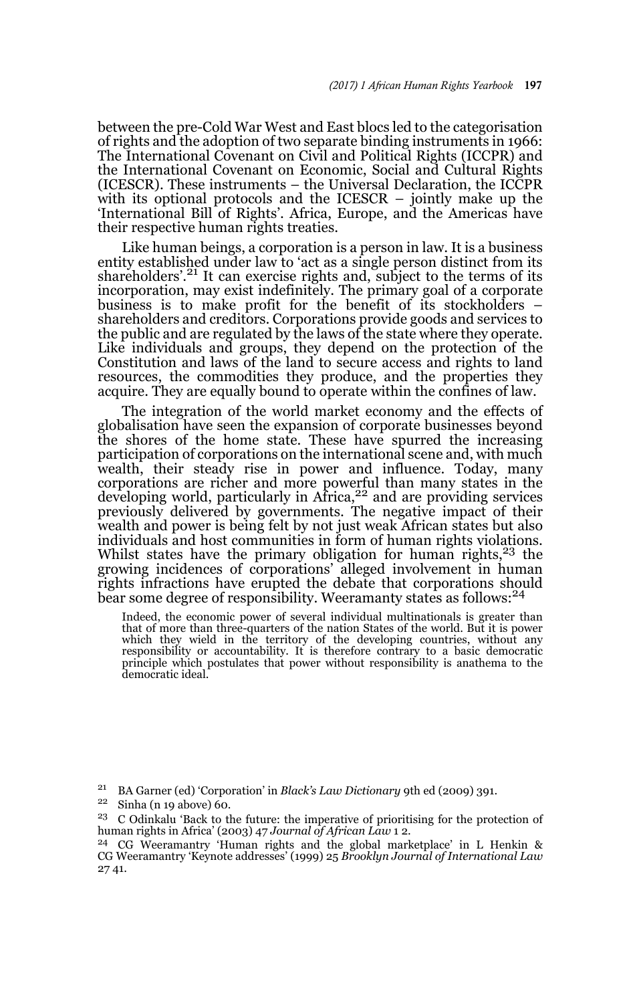between the pre-Cold War West and East blocs led to the categorisation of rights and the adoption of two separate binding instruments in 1966: The International Covenant on Civil and Political Rights (ICCPR) and the International Covenant on Economic, Social and Cultural Rights (ICESCR). These instruments – the Universal Declaration, the ICCPR with its optional protocols and the ICESCR – jointly make up the 'International Bill of Rights'. Africa, Europe, and the Americas have their respective human rights treaties.

Like human beings, a corporation is a person in law. It is a business entity established under law to 'act as a single person distinct from its shareholders'.<sup>21</sup> It can exercise rights and, subject to the terms of its incorporation, may exist indefinitely. The primary goal of a corporate business is to make profit for the benefit of its stockholders – shareholders and creditors. Corporations provide goods and services to the public and are regulated by the laws of the state where they operate. Like individuals and groups, they depend on the protection of the Constitution and laws of the land to secure access and rights to land resources, the commodities they produce, and the properties they acquire. They are equally bound to operate within the confines of law.

The integration of the world market economy and the effects of globalisation have seen the expansion of corporate businesses beyond the shores of the home state. These have spurred the increasing participation of corporations on the international scene and, with much wealth, their steady rise in power and influence. Today, many corporations are richer and more powerful than many states in the developing world, particularly in Africa,22 and are providing services previously delivered by governments. The negative impact of their wealth and power is being felt by not just weak African states but also individuals and host communities in form of human rights violations. Whilst states have the primary obligation for human rights,<sup>23</sup> the growing incidences of corporations' alleged involvement in human rights infractions have erupted the debate that corporations should bear some degree of responsibility. Weeramanty states as follows:<sup>24</sup>

Indeed, the economic power of several individual multinationals is greater than that of more than three-quarters of the nation States of the world. But it is power<br>which they wield in the territory of the developing countries, without any<br>responsibility or accountability. It is therefore contrary to a principle which postulates that power without responsibility is anathema to the democratic ideal.

<sup>21</sup> BA Garner (ed) 'Corporation' in *Black's Law Dictionary* 9th ed (2009) 391.

 $22$  Sinha (n 19 above) 60.

 $23$  C Odinkalu 'Back to the future: the imperative of prioritising for the protection of human rights in Africa' (2003) 47 *Journal of African Law* 1 2.

<sup>24</sup> CG Weeramantry 'Human rights and the global marketplace' in L Henkin & CG Weeramantry 'Keynote addresses' (1999) 25 *Brooklyn Journal of International Law* 27 41.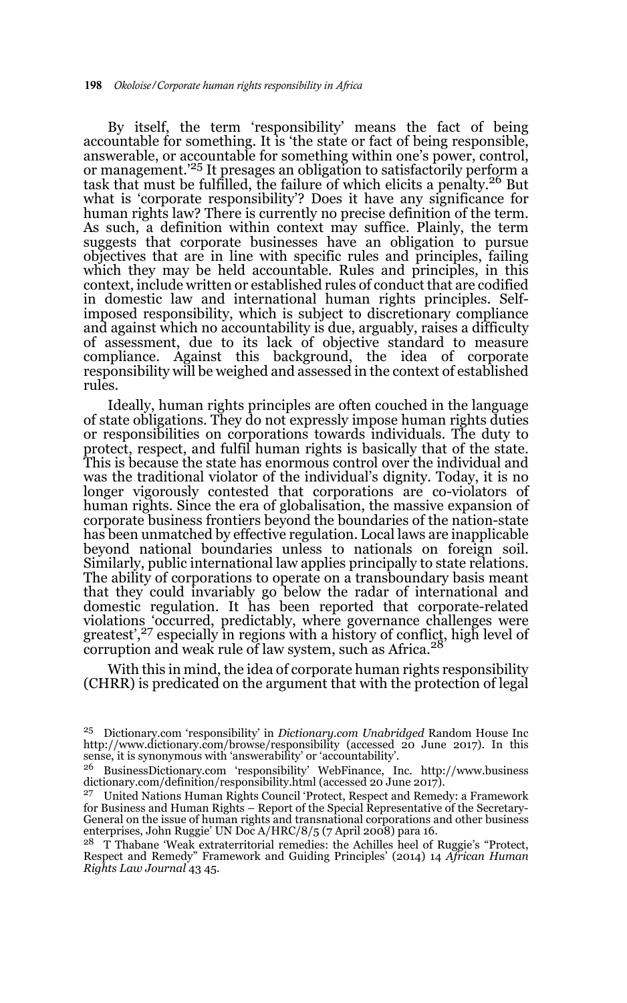By itself, the term 'responsibility' means the fact of being accountable for something. It is 'the state or fact of being responsible, answerable, or accountable for something within one's power, control, or management.'25 It presages an obligation to satisfactorily perform a task that must be fulfilled, the failure of which elicits a penalty.<sup>26</sup> But what is 'corporate responsibility'? Does it have any significance for human rights law? There is currently no precise definition of the term. As such, a definition within context may suffice. Plainly, the term suggests that corporate businesses have an obligation to pursue objectives that are in line with specific rules and principles, failing which they may be held accountable. Rules and principles, in this context, include written or established rules of conduct that are codified in domestic law and international human rights principles. Selfimposed responsibility, which is subject to discretionary compliance and against which no accountability is due, arguably, raises a difficulty of assessment, due to its lack of objective standard to measure compliance. Against this background, the idea of corporate responsibility will be weighed and assessed in the context of established rules.

Ideally, human rights principles are often couched in the language of state obligations. They do not expressly impose human rights duties or responsibilities on corporations towards individuals. The duty to protect, respect, and fulfil human rights is basically that of the state. This is because the state has enormous control over the individual and was the traditional violator of the individual's dignity. Today, it is no longer vigorously contested that corporations are co-violators of human rights. Since the era of globalisation, the massive expansion of corporate business frontiers beyond the boundaries of the nation-state has been unmatched by effective regulation. Local laws are inapplicable beyond national boundaries unless to nationals on foreign soil. Similarly, public international law applies principally to state relations. The ability of corporations to operate on a transboundary basis meant that they could invariably go below the radar of international and domestic regulation. It has been reported that corporate-related violations 'occurred, predictably, where governance challenges were<br>greatest',<sup>27</sup> especially in regions with a history of conflic<u>t,</u> high level of corruption and weak rule of law system, such as Africa.<sup>28</sup>

With this in mind, the idea of corporate human rights responsibility (CHRR) is predicated on the argument that with the protection of legal

<sup>25</sup> Dictionary.com 'responsibility' in *Dictionary.com Unabridged* Random House Inc http://www.dictionary.com/browse/responsibility (accessed 20 June 2017). In this sense, it is synonymous with 'answerability' or 'accountability'.

<sup>26</sup> BusinessDictionary.com 'responsibility' WebFinance, Inc. http://www.business dictionary.com/definition/responsibility.html (accessed 20 June 2017).

<sup>&</sup>lt;sup>27</sup> United Nations Human Rights Council 'Protect, Respect and Remedy: a Framework for Business and Human Rights – Report of the Special Representative of the Secretary-General on the issue of human rights and transnational corporations and other business enterprises, John Ruggie' UN Doc A/HRC/8/5 (7 April 2008) para 16.

<sup>28</sup> T Thabane 'Weak extraterritorial remedies: the Achilles heel of Ruggie's "Protect, Respect and Remedy" Framework and Guiding Principles' (2014) 14 *African Human Rights Law Journal* 43 45.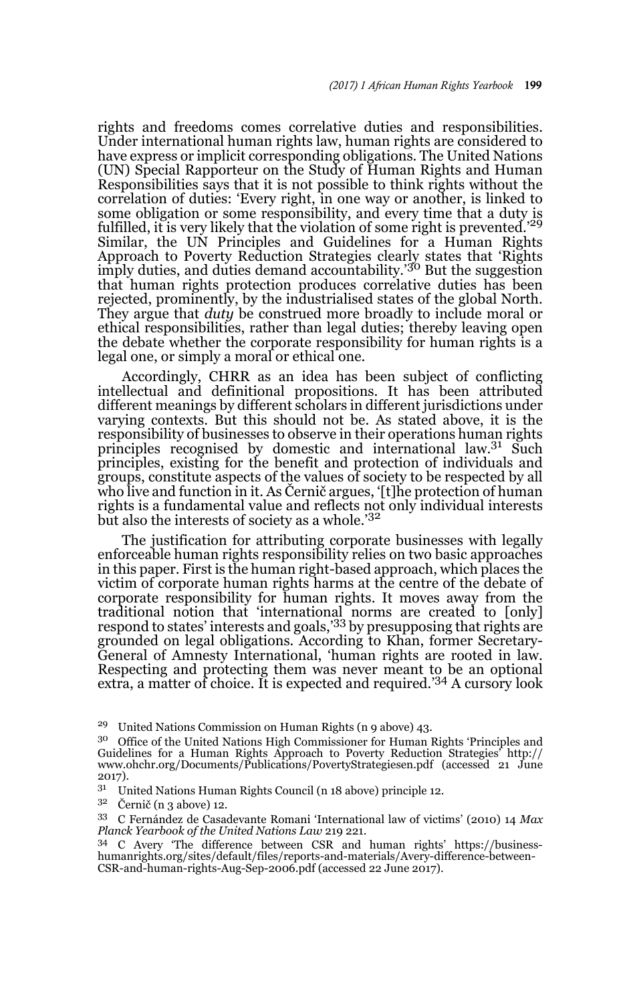rights and freedoms comes correlative duties and responsibilities. Under international human rights law, human rights are considered to have express or implicit corresponding obligations. The United Nations (UN) Special Rapporteur on the Study of Human Rights and Human Responsibilities says that it is not possible to think rights without the correlation of duties: 'Every right, in one way or another, is linked to some obligation or some responsibility, and every time that a duty is fulfilled, it is very likely that the violation of some right is prevented.'<sup>29</sup> Similar, the UN Principles and Guidelines for a Human Rights Approach to Poverty Reduction Strategies clearly states that 'Rights imply duties, and duties demand accountability.<sup>'30</sup> But the suggestion that human rights protection produces correlative duties has been rejected, prominently, by the industrialised states of the global North. They argue that *duty* be construed more broadly to include moral or ethical responsibilities, rather than legal duties; thereby leaving open the debate whether the corporate responsibility for human rights is a legal one, or simply a moral or ethical one.

Accordingly, CHRR as an idea has been subject of conflicting intellectual and definitional propositions. It has been attributed different meanings by different scholars in different jurisdictions under varying contexts. But this should not be. As stated above, it is the responsibility of businesses to observe in their operations human rights principles recognised by domestic and international law.<sup>31</sup> Such principles, existing for the benefit and protection of individuals and groups, constitute aspects of the values of society to be respected by all who live and function in it. As Černič argues, '[t]he protection of human rights is a fundamental value and reflects not only individual interests but also the interests of society as a whole.'<sup>32</sup>

The justification for attributing corporate businesses with legally enforceable human rights responsibility relies on two basic approaches in this paper. First is the human right-based approach, which places the victim of corporate human rights harms at the centre of the debate of corporate responsibility for human rights. It moves away from the traditional notion that 'international norms are created to [only]<br>respond to states' interests and goals,<sup>'33</sup> by presupposing that rights are grounded on legal obligations. According to Khan, former Secretary-General of Amnesty International, 'human rights are rooted in law. Respecting and protecting them was never meant to be an optional extra, a matter of choice. It is expected and required.'34 A cursory look

<sup>29</sup> United Nations Commission on Human Rights (n 9 above) 43.

<sup>&</sup>lt;sup>30</sup> Office of the United Nations High Commissioner for Human Rights 'Principles and Guidelines for a Human Rights Approach to Poverty Reduction Strategies' http:// www.ohchr.org/Documents/Publications/PovertyStrategiesen.pdf (accessed 21 June  $2017$ ).<br> $31 - 11$ 

United Nations Human Rights Council (n 18 above) principle 12.

<sup>32</sup> Černič (n 3 above) 12.

<sup>33</sup> C Fernández de Casadevante Romani 'International law of victims' (2010) 14 *Max Planck Yearbook of the United Nations Law* 219 221.

<sup>34</sup> C Avery 'The difference between CSR and human rights' https://business-humanrights.org/sites/default/files/reports-and-materials/Avery-difference-between-CSR-and-human-rights-Aug-Sep-2006.pdf (accessed 22 June 2017).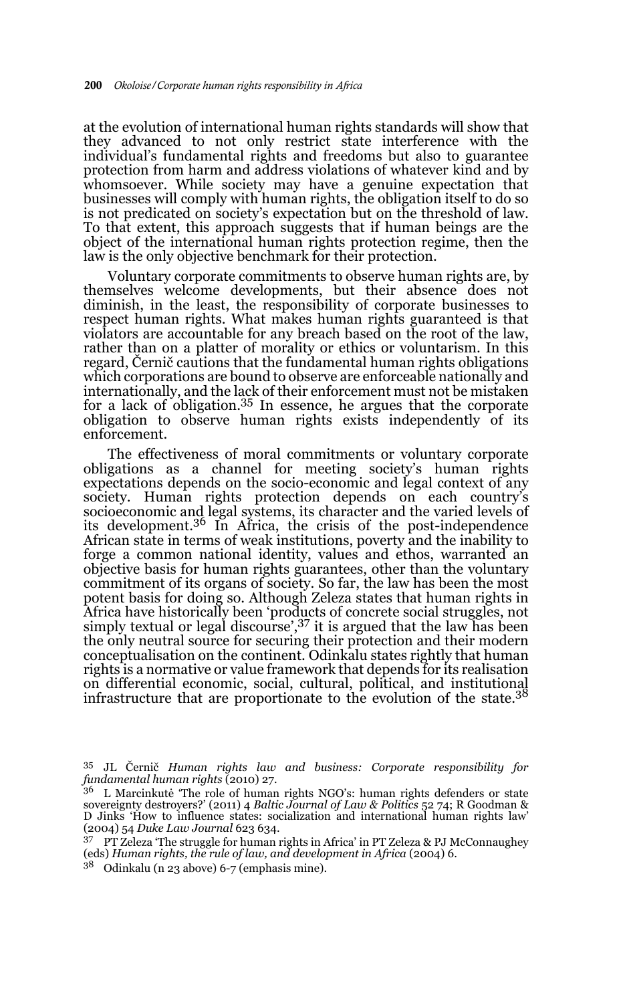at the evolution of international human rights standards will show that they advanced to not only restrict state interference with the individual's fundamental rights and freedoms but also to guarantee protection from harm and address violations of whatever kind and by whomsoever. While society may have a genuine expectation that businesses will comply with human rights, the obligation itself to do so is not predicated on society's expectation but on the threshold of law. To that extent, this approach suggests that if human beings are the object of the international human rights protection regime, then the law is the only objective benchmark for their protection.

Voluntary corporate commitments to observe human rights are, by themselves welcome developments, but their absence does not diminish, in the least, the responsibility of corporate businesses to respect human rights. What makes human rights guaranteed is that violators are accountable for any breach based on the root of the law, rather than on a platter of morality or ethics or voluntarism. In this regard, Černič cautions that the fundamental human rights obligations which corporations are bound to observe are enforceable nationally and internationally, and the lack of their enforcement must not be mistaken for a lack of obligation.<sup>35</sup> In essence, he argues that the corporate obligation to observe human rights exists independently of its enforcement.

The effectiveness of moral commitments or voluntary corporate obligations as a channel for meeting society's human rights expectations depends on the socio-economic and legal context of any society. Human rights protection depends on each country's socioeconomic and legal systems, its character and the varied levels of its development.36 In Africa, the crisis of the post-independence African state in terms of weak institutions, poverty and the inability to forge a common national identity, values and ethos, warranted an objective basis for human rights guarantees, other than the voluntary commitment of its organs of society. So far, the law has been the most potent basis for doing so. Although Zeleza states that human rights in Africa have historically been 'products of concrete social struggles, not simply textual or legal discourse', 37 it is argued that the law has been the only neutral source for securing their protection and their modern conceptualisation on the continent. Odinkalu states rightly that human rights is a normative or value framework that depends for its realisation on differential economic, social, cultural, political, and institutional infrastructure that are proportionate to the evolution of the state. $3^8$ 

<sup>35</sup> JL Černič *Human rights law and business: Corporate responsibility for fundamental human rights* (2010) 27.

<sup>36</sup> L Marcinkutė 'The role of human rights NGO's: human rights defenders or state sovereignty destroyers?' (2011) 4 *Baltic Journal of Law & Politics* 52 74; R Goodman & D Jinks 'How to influence states: socialization and international human rights law' (2004) 54 *Duke Law Journal* 623 634.

<sup>37</sup> PT Zeleza 'The struggle for human rights in Africa' in PT Zeleza & PJ McConnaughey (eds) *Human rights, the rule of law, and development in Africa* (2004) 6.

<sup>38</sup> Odinkalu (n 23 above) 6-7 (emphasis mine).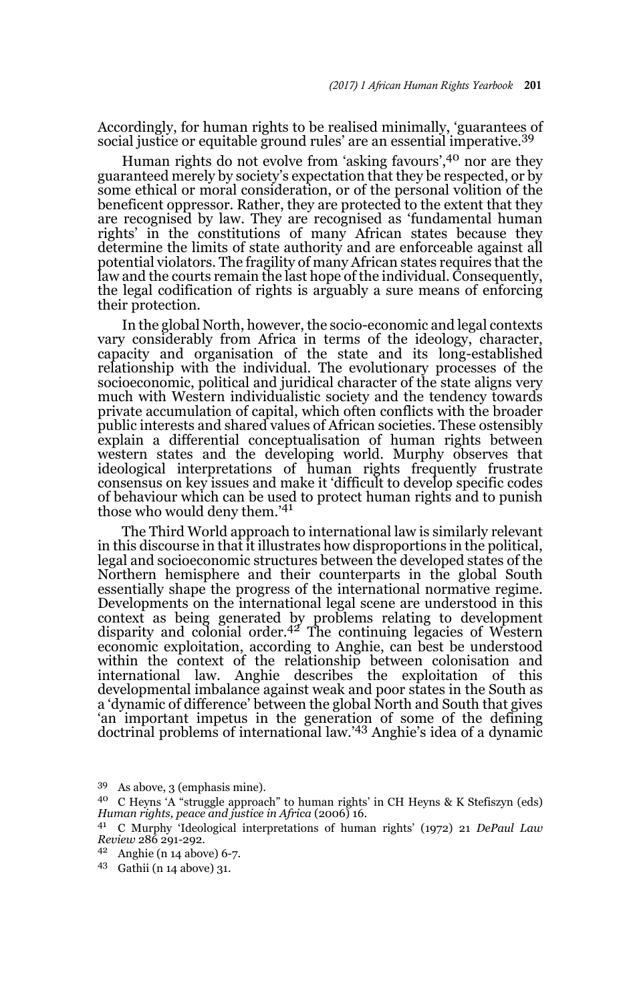Accordingly, for human rights to be realised minimally, 'guarantees of social justice or equitable ground rules' are an essential imperative.<sup>39</sup>

Human rights do not evolve from 'asking favours',40 nor are they guaranteed merely by society's expectation that they be respected, or by some ethical or moral consideration, or of the personal volition of the beneficent oppressor. Rather, they are protected to the extent that they are recognised by law. They are recognised as 'fundamental human rights' in the constitutions of many African states because they determine the limits of state authority and are enforceable against all potential violators. The fragility of many African states requires that the law and the courts remain the last hope of the individual. Consequently, the legal codification of rights is arguably a sure means of enforcing their protection.

In the global North, however, the socio-economic and legal contexts vary considerably from Africa in terms of the ideology, character, capacity and organisation of the state and its long-established relationship with the individual. The evolutionary processes of the socioeconomic, political and juridical character of the state aligns very much with Western individualistic society and the tendency towards private accumulation of capital, which often conflicts with the broader public interests and shared values of African societies. These ostensibly explain a differential conceptualisation of human rights between western states and the developing world. Murphy observes that ideological interpretations of human rights frequently frustrate consensus on key issues and make it 'difficult to develop specific codes of behaviour which can be used to protect human rights and to punish those who would deny them.'<sup>41</sup>

The Third World approach to international law is similarly relevant in this discourse in that it illustrates how disproportions in the political, legal and socioeconomic structures between the developed states of the Northern hemisphere and their counterparts in the global South essentially shape the progress of the international normative regime. Developments on the international legal scene are understood in this context as being generated by problems relating to development disparity and colonial order.42 The continuing legacies of Western economic exploitation, according to Anghie, can best be understood within the context of the relationship between colonisation and international law. Anghie describes the exploitation of this developmental imbalance against weak and poor states in the South as a 'dynamic of difference' between the global North and South that gives 'an important impetus in the generation of some of the defining doctrinal problems of international law.'43 Anghie's idea of a dynamic

<sup>39</sup> As above, 3 (emphasis mine).

<sup>40</sup> C Heyns 'A "struggle approach" to human rights' in CH Heyns & K Stefiszyn (eds) *Human rights, peace and justice in Africa* (2006) 16.

<sup>41</sup> C Murphy 'Ideological interpretations of human rights' (1972) 21 *DePaul Law Review* 286 291-292.

<sup>42</sup> Anghie (n 14 above) 6-7.

<sup>43</sup> Gathii (n 14 above) 31.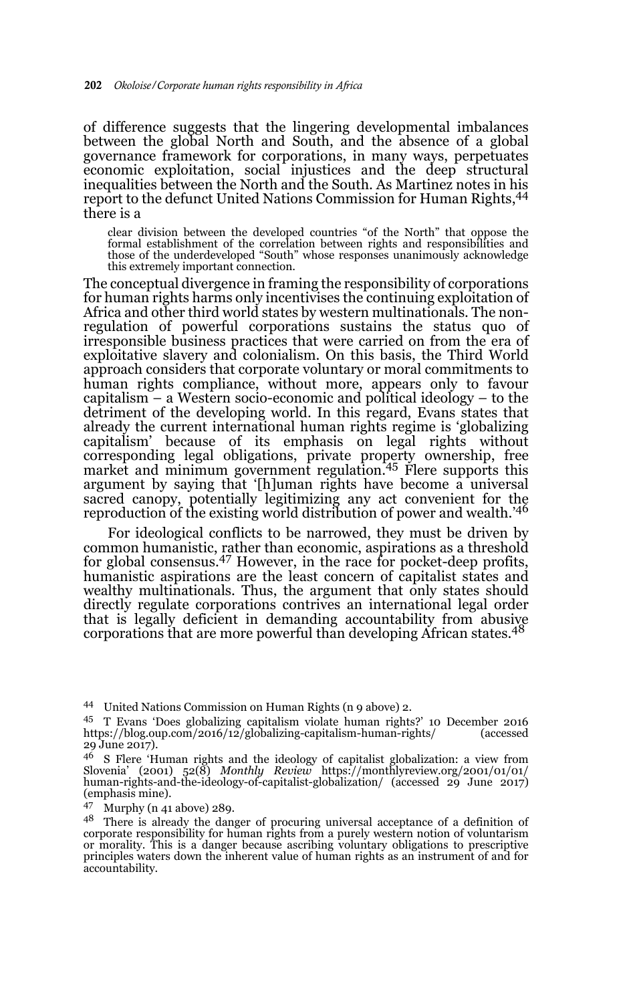of difference suggests that the lingering developmental imbalances between the global North and South, and the absence of a global governance framework for corporations, in many ways, perpetuates economic exploitation, social injustices and the deep structural inequalities between the North and the South. As Martinez notes in his report to the defunct United Nations Commission for Human Rights, <sup>44</sup> there is a

clear division between the developed countries "of the North" that oppose the formal establishment of the correlation between rights and responsibilities and those of the underdeveloped "South" whose responses unanimously acknowledge this extremely important connection.

The conceptual divergence in framing the responsibility of corporations for human rights harms only incentivises the continuing exploitation of Africa and other third world states by western multinationals. The nonregulation of powerful corporations sustains the status quo of irresponsible business practices that were carried on from the era of exploitative slavery and colonialism. On this basis, the Third World approach considers that corporate voluntary or moral commitments to human rights compliance, without more, appears only to favour capitalism – a Western socio-economic and political ideology – to the detriment of the developing world. In this regard, Evans states that already the current international human rights regime is 'globalizing capitalism' because of its emphasis on legal rights without corresponding legal obligations, private property ownership, free market and minimum government regulation.<sup>45</sup> Flere supports this argument by saying that '[h]uman rights have become a universal sacred canopy, potentially legitimizing any act convenient for the reproduction of the existing world distribution of power and wealth.<sup>'46</sup>

For ideological conflicts to be narrowed, they must be driven by common humanistic, rather than economic, aspirations as a threshold for global consensus.47 However, in the race for pocket-deep profits, humanistic aspirations are the least concern of capitalist states and wealthy multinationals. Thus, the argument that only states should directly regulate corporations contrives an international legal order that is legally deficient in demanding accountability from abusive corporations that are more powerful than developing African states.<sup>48</sup>

<sup>44</sup> United Nations Commission on Human Rights (n 9 above) 2.

<sup>&</sup>lt;sup>45</sup> T Evans 'Does globalizing capitalism violate human rights?' 10 December 2016<br>https://blog.oup.com/2016/12/globalizing-capitalism-human-rights/ (accessed https://blog.oup.com/2016/12/globalizing-capitalism-human-rights/ 29 June 2017).

<sup>46</sup> S Flere 'Human rights and the ideology of capitalist globalization: a view from Slovenia' (2001) 52(8) *Monthly Review* https://monthlyreview.org/2001/01/01/ human-rights-and-the-ideology-of-capitalist-globalization/ (accessed 29 June 2017) (emphasis mine).

<sup>47</sup> Murphy (n 41 above) 289.

<sup>&</sup>lt;sup>48</sup> There is already the danger of procuring universal acceptance of a definition of corporate responsibility for human rights from a purely western notion of voluntarism or morality. This is a danger because ascribing voluntary obligations to prescriptive principles waters down the inherent value of human rights as an instrument of and for accountability.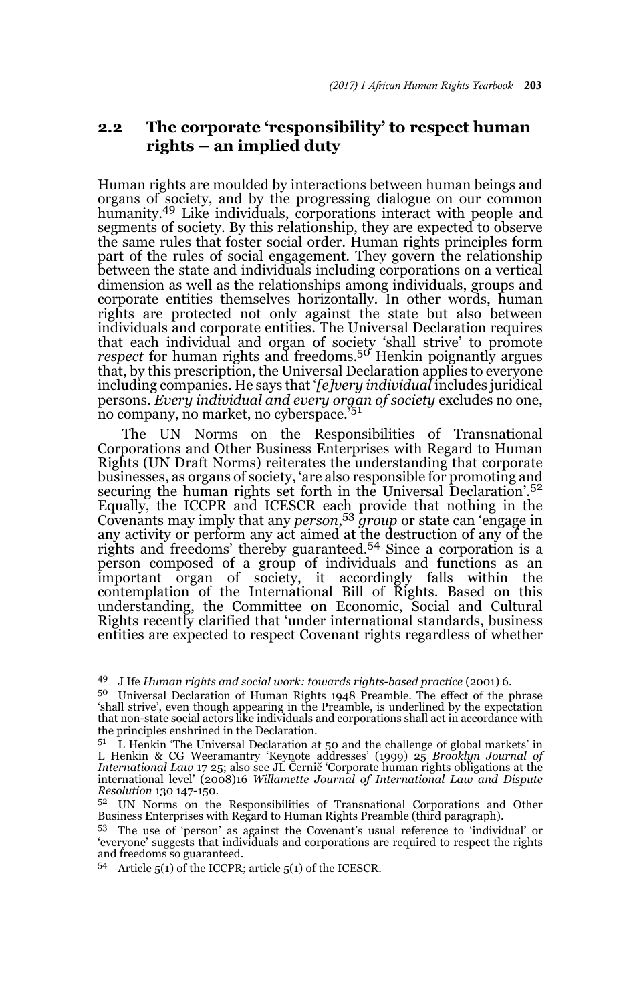### **2.2 The corporate 'responsibility' to respect human rights – an implied duty**

Human rights are moulded by interactions between human beings and organs of society, and by the progressing dialogue on our common humanity.<sup>49</sup> Like individuals, corporations interact with people and segments of society. By this relationship, they are expected to observe the same rules that foster social order. Human rights principles form part of the rules of social engagement. They govern the relationship between the state and individuals including corporations on a vertical dimension as well as the relationships among individuals, groups and corporate entities themselves horizontally. In other words, human rights are protected not only against the state but also between individuals and corporate entities. The Universal Declaration requires that each individual and organ of society 'shall strive' to promote<br>*respect* for human rights and freedoms.<sup>50</sup> Henkin poignantly argues that, by this prescription, the Universal Declaration applies to everyone including companies. He says that '*[e]very individual* includes juridical persons. *Every individual and every organ of society* excludes no one, no company, no market, no cyberspace.'<sup>51</sup>

The UN Norms on the Responsibilities of Transnational Corporations and Other Business Enterprises with Regard to Human Rights (UN Draft Norms) reiterates the understanding that corporate businesses, as organs of society, 'are also responsible for promoting and securing the human rights set forth in the Universal Declaration'.<sup>52</sup> Equally, the ICCPR and ICESCR each provide that nothing in the Covenants may imply that any *person*, <sup>53</sup> *group* or state can 'engage in any activity or perform any act aimed at the destruction of any of the rights and freedoms' thereby guaranteed.54 Since a corporation is a person composed of a group of individuals and functions as an important organ of society, it accordingly falls within the contemplation of the International Bill of Rights. Based on this understanding, the Committee on Economic, Social and Cultural Rights recently clarified that 'under international standards, business entities are expected to respect Covenant rights regardless of whether

<sup>49</sup> J Ife *Human rights and social work: towards rights-based practice* (2001) 6.

<sup>50</sup> Universal Declaration of Human Rights 1948 Preamble. The effect of the phrase 'shall strive', even though appearing in the Preamble, is underlined by the expectation that non-state social actors like individuals and corporations shall act in accordance with the principles enshrined in the Declaration.

 $51$  L Henkin 'The Universal Declaration at 50 and the challenge of global markets' in L Henkin & CG Weeramantry 'Keynote addresses' (1999) 25 *Brooklyn Journal of International Law* 17 25; also see JL Černič 'Corporate human rights obligations at the international level' (2008)16 *Willamette Journal of International Law and Dispute Resolution* 130 147-150.

<sup>52</sup> UN Norms on the Responsibilities of Transnational Corporations and Other Business Enterprises with Regard to Human Rights Preamble (third paragraph).

<sup>53</sup> The use of 'person' as against the Covenant's usual reference to 'individual' or 'everyone' suggests that individuals and corporations are required to respect the rights and freedoms so guaranteed.

<sup>54</sup> Article 5(1) of the ICCPR; article 5(1) of the ICESCR.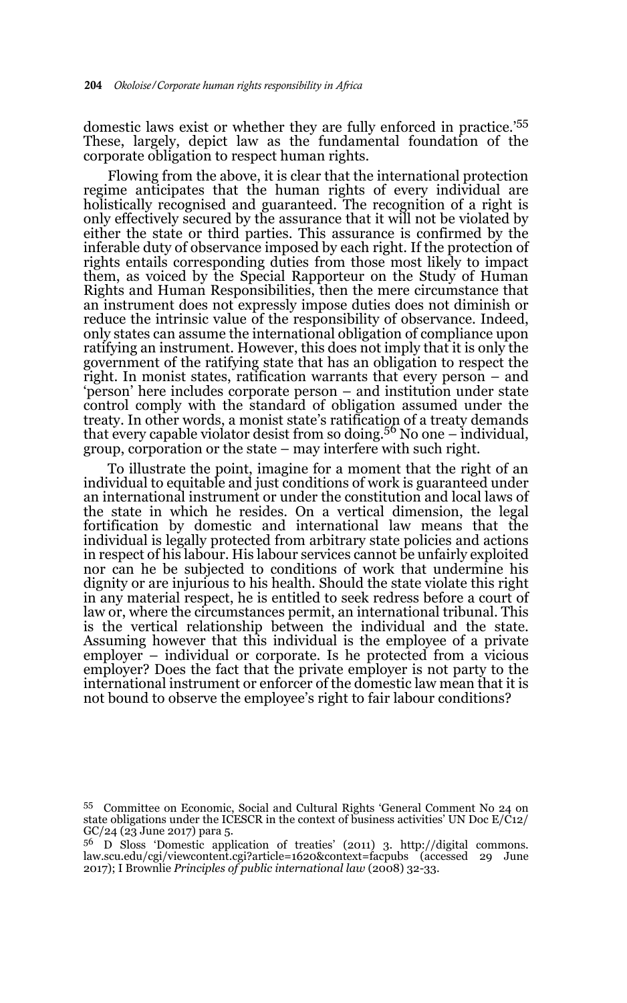domestic laws exist or whether they are fully enforced in practice.'<sup>55</sup> These, largely, depict law as the fundamental foundation of the corporate obligation to respect human rights.

Flowing from the above, it is clear that the international protection regime anticipates that the human rights of every individual are holistically recognised and guaranteed. The recognition of a right is only effectively secured by the assurance that it will not be violated by either the state or third parties. This assurance is confirmed by the inferable duty of observance imposed by each right. If the protection of rights entails corresponding duties from those most likely to impact them, as voiced by the Special Rapporteur on the Study of Human Rights and Human Responsibilities, then the mere circumstance that an instrument does not expressly impose duties does not diminish or reduce the intrinsic value of the responsibility of observance. Indeed, only states can assume the international obligation of compliance upon ratifying an instrument. However, this does not imply that it is only the government of the ratifying state that has an obligation to respect the right. In monist states, ratification warrants that every person – and 'person' here includes corporate person – and institution under state control comply with the standard of obligation assumed under the treaty. In other words, a monist state's ratification of a treaty demands that every capable violator desist from so doing.56 No one – individual, group, corporation or the state – may interfere with such right.

To illustrate the point, imagine for a moment that the right of an individual to equitable and just conditions of work is guaranteed under an international instrument or under the constitution and local laws of the state in which he resides. On a vertical dimension, the legal fortification by domestic and international law means that the individual is legally protected from arbitrary state policies and actions in respect of his labour. His labour services cannot be unfairly exploited nor can he be subjected to conditions of work that undermine his dignity or are injurious to his health. Should the state violate this right in any material respect, he is entitled to seek redress before a court of law or, where the circumstances permit, an international tribunal. This is the vertical relationship between the individual and the state. Assuming however that this individual is the employee of a private employer – individual or corporate. Is he protected from a vicious employer? Does the fact that the private employer is not party to the international instrument or enforcer of the domestic law mean that it is not bound to observe the employee's right to fair labour conditions?

<sup>55</sup> Committee on Economic, Social and Cultural Rights 'General Comment No 24 on state obligations under the ICESCR in the context of business activities' UN Doc  $E/C12$ / GC/24 (23 June 2017) para 5.

<sup>56</sup> D Sloss 'Domestic application of treaties' (2011) 3. http://digital commons. law.scu.edu/cgi/viewcontent.cgi?article=1620&context=facpubs (accessed 29 June 2017); I Brownlie *Principles of public international law* (2008) 32-33.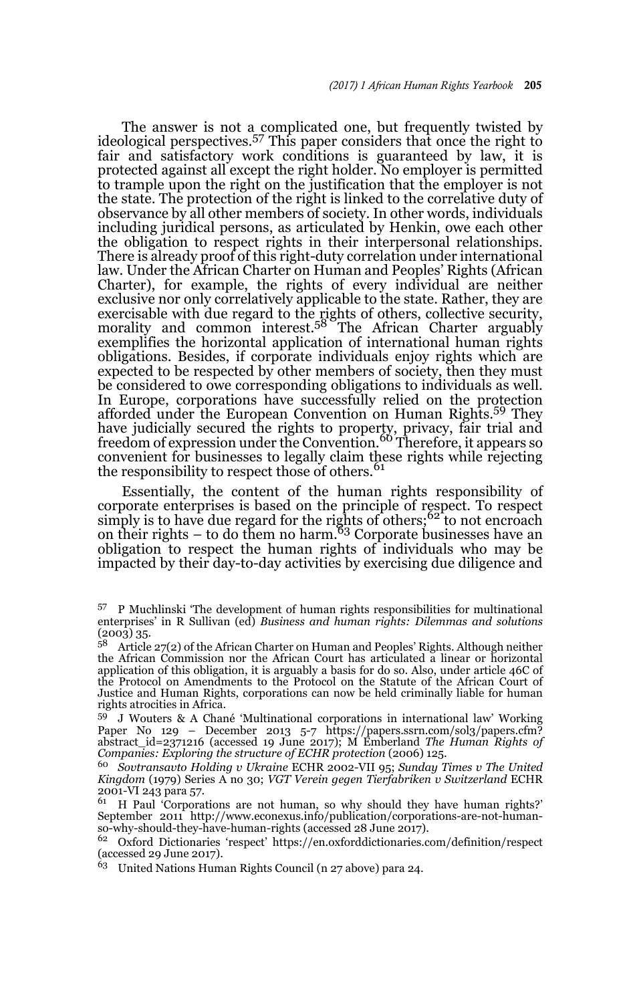The answer is not a complicated one, but frequently twisted by ideological perspectives.57 This paper considers that once the right to fair and satisfactory work conditions is guaranteed by law, it is protected against all except the right holder. No employer is permitted to trample upon the right on the justification that the employer is not the state. The protection of the right is linked to the correlative duty of observance by all other members of society. In other words, individuals including juridical persons, as articulated by Henkin, owe each other the obligation to respect rights in their interpersonal relationships. There is already proof of this right-duty correlation under international law. Under the African Charter on Human and Peoples' Rights (African Charter), for example, the rights of every individual are neither exclusive nor only correlatively applicable to the state. Rather, they are exercisable with due regard to the rights of others, collective security, morality and common interest.<sup>58</sup> The African Charter arguably exemplifies the horizontal application of international human rights obligations. Besides, if corporate individuals enjoy rights which are expected to be respected by other members of society, then they must be considered to owe corresponding obligations to individuals as well. In Europe, corporations have successfully relied on the protection afforded under the European Convention on Human Rights.59 They have judicially secured the rights to property, privacy, fair trial and<br>freedom of expression under the Convention.<sup>60</sup> Therefore, it appears so convenient for businesses to legally claim these rights while rejecting the responsibility to respect those of others.<sup>61</sup>

Essentially, the content of the human rights responsibility of corporate enterprises is based on the principle of respect. To respect simply is to have due regard for the rights of others;<sup>62</sup> to not encroach on their rights  $-$  to do them no harm.<sup>63</sup> Corporate businesses have an obligation to respect the human rights of individuals who may be impacted by their day-to-day activities by exercising due diligence and

<sup>57</sup> P Muchlinski 'The development of human rights responsibilities for multinational enterprises' in R Sullivan (ed) *Business and human rights: Dilemmas and solutions* (2003) 35.

<sup>58</sup> Article 27(2) of the African Charter on Human and Peoples' Rights. Although neither the African Commission nor the African Court has articulated a linear or horizontal application of this obligation, it is arguably a basis for do so. Also, under article 46C of the Protocol on Amendments to the Protocol on the Statute of the African Court of Justice and Human Rights, corporations can now be held criminally liable for human rights atrocities in Africa.

<sup>59</sup> J Wouters & A Chané 'Multinational corporations in international law' Working Paper No 129 – December 2013 5-7 https://papers.ssrn.com/sol3/papers.cfm? abstract\_id=2371216 (accessed 19 June 2017); M Emberland *The Human Rights of Companies: Exploring the structure of ECHR protection* (2006) 125.

<sup>60</sup> *Sovtransavto Holding v Ukraine* ECHR 2002-VII 95; *Sunday Times v The United Kingdom* (1979) Series A no 30; *VGT Verein gegen Tierfabriken v Switzerland* ECHR 2001-VI 243 para 57.

<sup>61</sup> H Paul 'Corporations are not human, so why should they have human rights?' September 2011 http://www.econexus.info/publication/corporations-are-not-humanso-why-should-they-have-human-rights (accessed 28 June 2017).

<sup>62</sup> Oxford Dictionaries 'respect' https://en.oxforddictionaries.com/definition/respect (accessed 29 June 2017).

<sup>63</sup> United Nations Human Rights Council (n 27 above) para 24.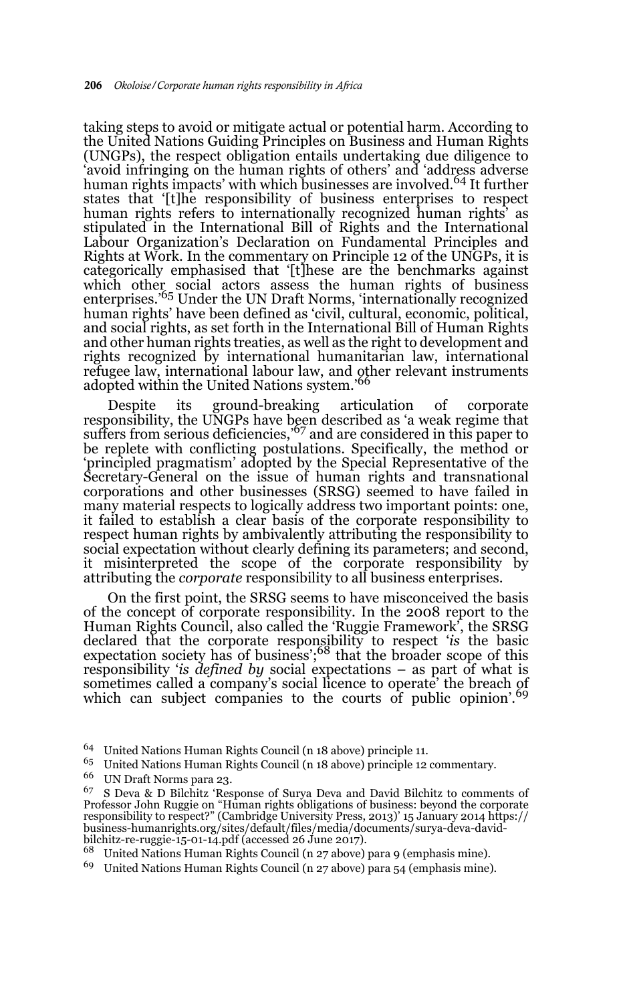taking steps to avoid or mitigate actual or potential harm. According to the United Nations Guiding Principles on Business and Human Rights (UNGPs), the respect obligation entails undertaking due diligence to 'avoid infringing on the human rights of others' and 'address adverse human rights impacts' with which businesses are involved.<sup>64</sup> It further states that '[t]he responsibility of business enterprises to respect human rights refers to internationally recognized human rights' as stipulated in the International Bill of Rights and the International Labour Organization's Declaration on Fundamental Principles and Rights at Work. In the commentary on Principle 12 of the UNGPs, it is categorically emphasised that '[t]hese are the benchmarks against which other social actors assess the human rights of business enterprises.'<sup>65</sup> Under the UN Draft Norms, 'internationally recognized human rights' have been defined as 'civil, cultural, economic, political, and social rights, as set forth in the International Bill of Human Rights and other human rights treaties, as well as the right to development and rights recognized by international humanitarian law, international refugee law, international labour law, and other relevant instruments adopted within the United Nations system.'<sup>66</sup>

Despite its ground-breaking articulation of corporate responsibility, the UNGPs have been described as 'a weak regime that suffers from serious deficiencies,<sup>567</sup> and are considered in this paper to be replete with conflicting postulations. Specifically, the method or 'principled pragmatism' adopted by the Special Representative of the Secretary-General on the issue of human rights and transnational corporations and other businesses (SRSG) seemed to have failed in many material respects to logically address two important points: one, it failed to establish a clear basis of the corporate responsibility to respect human rights by ambivalently attributing the responsibility to social expectation without clearly defining its parameters; and second, it misinterpreted the scope of the corporate responsibility by attributing the *corporate* responsibility to all business enterprises.

On the first point, the SRSG seems to have misconceived the basis of the concept of corporate responsibility. In the 2008 report to the Human Rights Council, also called the 'Ruggie Framework', the SRSG declared that the corporate responsibility to respect '*is* the basic expectation society has of business';<sup>68</sup> that the broader scope of this responsibility '*is defined by* social expectations – as part of what is sometimes called a company's social licence to operate' the breach of which can subject companies to the courts of public opinion'.<sup>69</sup>

- <sup>65</sup> United Nations Human Rights Council (n 18 above) principle 12 commentary.<br><sup>66</sup> UN Draft Nature name 20
- <sup>66</sup> UN Draft Norms para 23.

 $69$  United Nations Human Rights Council (n 27 above) para 54 (emphasis mine).

<sup>64</sup> United Nations Human Rights Council (n 18 above) principle 11.

<sup>67</sup> S Deva & D Bilchitz 'Response of Surya Deva and David Bilchitz to comments of Professor John Ruggie on "Human rights obligations of business: beyond the corporate responsibility to respect?" (Cambridge University Press, 2013)' 15 January 2014 https:// business-humanrights.org/sites/default/files/media/documents/surya-deva-davidbilchitz-re-ruggie-15-01-14.pdf (accessed 26 June 2017).

<sup>68</sup> United Nations Human Rights Council (n 27 above) para 9 (emphasis mine).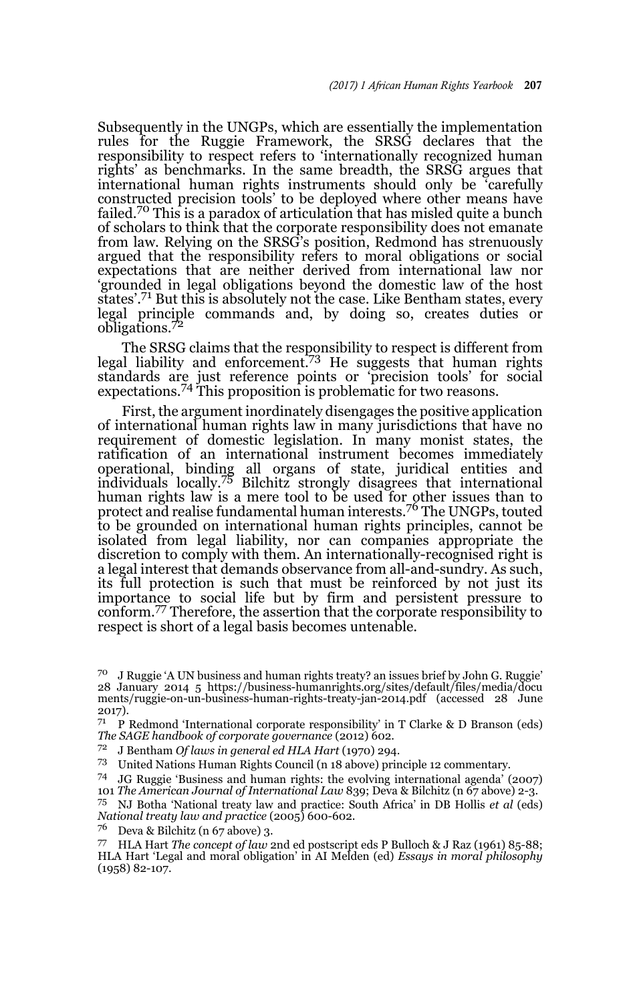Subsequently in the UNGPs, which are essentially the implementation rules for the Ruggie Framework, the SRSG declares that the responsibility to respect refers to 'internationally recognized human rights' as benchmarks. In the same breadth, the SRSG argues that international human rights instruments should only be 'carefully constructed precision tools' to be deployed where other means have failed.<sup>70</sup> This is a paradox of articulation that has misled quite a bunch of scholars to think that the corporate responsibility does not emanate from law. Relying on the SRSG's position, Redmond has strenuously argued that the responsibility refers to moral obligations or social expectations that are neither derived from international law nor 'grounded in legal obligations beyond the domestic law of the host states'.71 But this is absolutely not the case. Like Bentham states, every legal principle commands and, by doing so, creates duties or obligations.<sup>72</sup>

The SRSG claims that the responsibility to respect is different from legal liability and enforcement.<sup>73</sup> He suggests that human rights standards are just reference points or 'precision tools' for social expectations.74 This proposition is problematic for two reasons.

First, the argument inordinately disengages the positive application of international human rights law in many jurisdictions that have no requirement of domestic legislation. In many monist states, the ratification of an international instrument becomes immediately operational, binding all organs of state, juridical entities and individuals locally.75 Bilchitz strongly disagrees that international human rights law is a mere tool to be used for other issues than to protect and realise fundamental human interests.76 The UNGPs, touted to be grounded on international human rights principles, cannot be isolated from legal liability, nor can companies appropriate the discretion to comply with them. An internationally-recognised right is a legal interest that demands observance from all-and-sundry. As such, its full protection is such that must be reinforced by not just its importance to social life but by firm and persistent pressure to conform.77 Therefore, the assertion that the corporate responsibility to respect is short of a legal basis becomes untenable.

<sup>70</sup> J Ruggie 'A UN business and human rights treaty? an issues brief by John G. Ruggie' 28 January 2014 5 https://business-humanrights.org/sites/default/files/media/docu ments/ruggie-on-un-business-human-rights-treaty-jan-2014.pdf (accessed 28 June 2017).

<sup>&</sup>lt;sup>71</sup> P Redmond 'International corporate responsibility' in T Clarke & D Branson (eds) *The SAGE handbook of corporate governance* (2012) 602.

<sup>72</sup> J Bentham *Of laws in general ed HLA Hart* (1970) 294.

<sup>73</sup> United Nations Human Rights Council (n 18 above) principle 12 commentary.

<sup>74</sup> JG Ruggie 'Business and human rights: the evolving international agenda' (2007) 101 *The American Journal of International Law* 839; Deva & Bilchitz (n 67 above) 2-3.

<sup>75</sup> NJ Botha 'National treaty law and practice: South Africa' in DB Hollis *et al* (eds) *National treaty law and practice* (2005) 600-602.

<sup>76</sup> Deva & Bilchitz (n 67 above) 3.

<sup>77</sup> HLA Hart *The concept of law* 2nd ed postscript eds P Bulloch & J Raz (1961) 85-88; HLA Hart 'Legal and moral obligation' in AI Melden (ed) *Essays in moral philosophy* (1958) 82-107.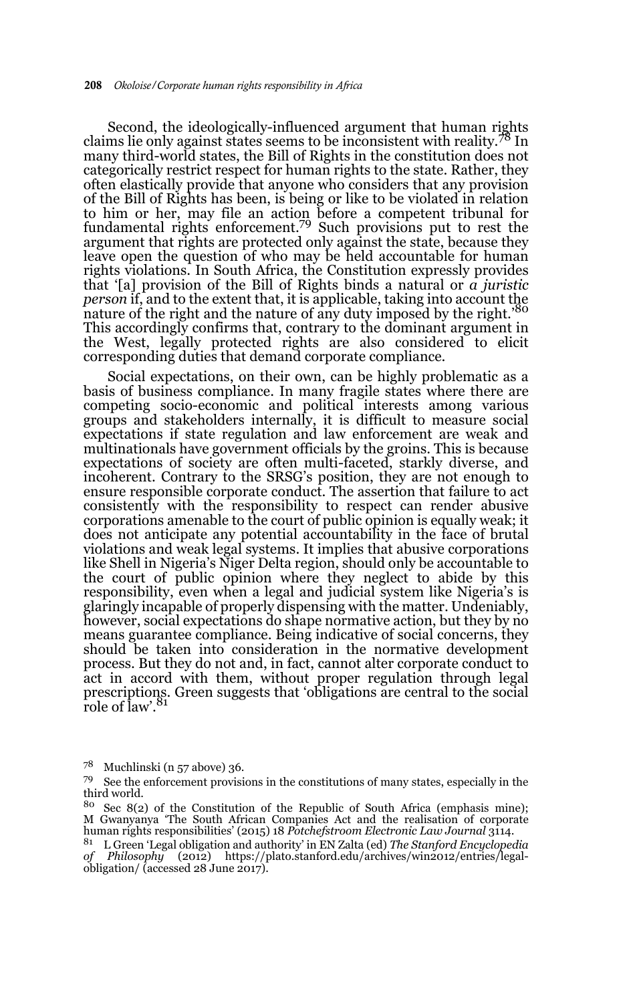Second, the ideologically-influenced argument that human rights claims lie only against states seems to be inconsistent with reality.78 In many third-world states, the Bill of Rights in the constitution does not categorically restrict respect for human rights to the state. Rather, they often elastically provide that anyone who considers that any provision of the Bill of Rights has been, is being or like to be violated in relation to him or her, may file an action before a competent tribunal for fundamental rights enforcement.79 Such provisions put to rest the argument that rights are protected only against the state, because they leave open the question of who may be held accountable for human rights violations. In South Africa, the Constitution expressly provides that '[a] provision of the Bill of Rights binds a natural or *a juristic person* if, and to the extent that, it is applicable, taking into account the nature of the right and the nature of any duty imposed by the right.'80 This accordingly confirms that, contrary to the dominant argument in the West, legally protected rights are also considered to elicit corresponding duties that demand corporate compliance.

Social expectations, on their own, can be highly problematic as a basis of business compliance. In many fragile states where there are competing socio-economic and political interests among various groups and stakeholders internally, it is difficult to measure social expectations if state regulation and law enforcement are weak and multinationals have government officials by the groins. This is because expectations of society are often multi-faceted, starkly diverse, and incoherent. Contrary to the SRSG's position, they are not enough to ensure responsible corporate conduct. The assertion that failure to act consistently with the responsibility to respect can render abusive corporations amenable to the court of public opinion is equally weak; it does not anticipate any potential accountability in the face of brutal violations and weak legal systems. It implies that abusive corporations like Shell in Nigeria's Niger Delta region, should only be accountable to the court of public opinion where they neglect to abide by this responsibility, even when a legal and judicial system like Nigeria's is glaringly incapable of properly dispensing with the matter. Undeniably, however, social expectations do shape normative action, but they by no means guarantee compliance. Being indicative of social concerns, they should be taken into consideration in the normative development process. But they do not and, in fact, cannot alter corporate conduct to act in accord with them, without proper regulation through legal prescriptions. Green suggests that 'obligations are central to the social role of law'.<sup>81</sup>

 $7^8$  Muchlinski (n 57 above) 36.

<sup>79</sup> See the enforcement provisions in the constitutions of many states, especially in the third world.

 $80$  Sec 8(2) of the Constitution of the Republic of South Africa (emphasis mine); M Gwanyanya 'The South African Companies Act and the realisation of corporate human rights responsibilities' (2015) 18 *Potchefstroom Electronic Law Journal* 3114.

<sup>81</sup> L Green 'Legal obligation and authority' in EN Zalta (ed) *The Stanford Encyclopedia of Philosophy* (2012) https://plato.stanford.edu/archives/win2012/entries/legalobligation/ (accessed 28 June 2017).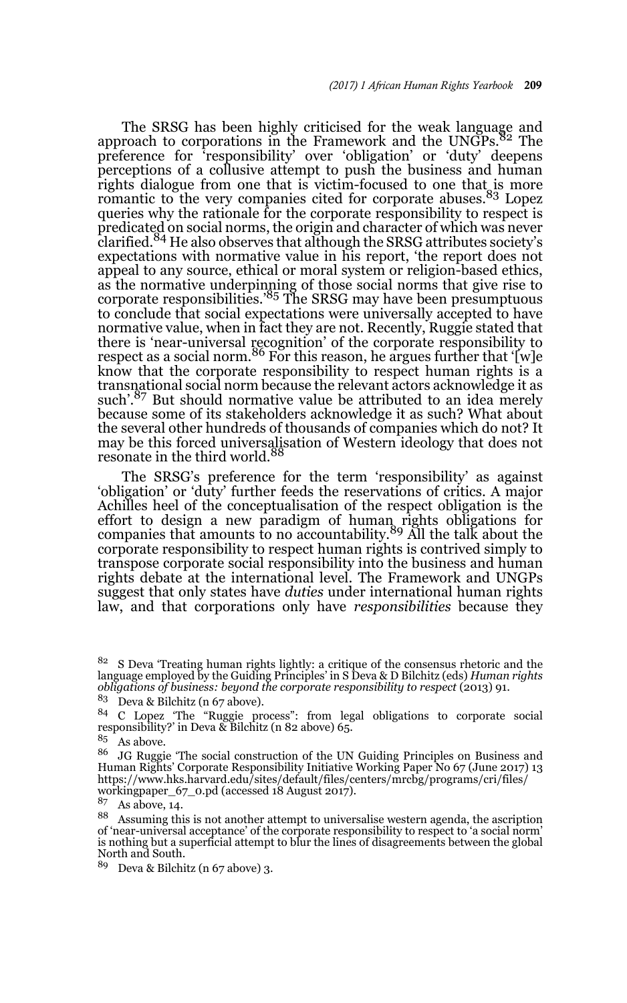The SRSG has been highly criticised for the weak language and approach to corporations in the Framework and the UNGPs.<sup>82</sup> The preference for 'responsibility' over 'obligation' or 'duty' deepens perceptions of a collusive attempt to push the business and human rights dialogue from one that is victim-focused to one that is more romantic to the very companies cited for corporate abuses.<sup>83</sup> Lopez queries why the rationale for the corporate responsibility to respect is predicated on social norms, the origin and character of which was never clarified.<sup>84</sup> He also observes that although the SRSG attributes society's expectations with normative value in his report, 'the report does not appeal to any source, ethical or moral system or religion-based ethics, as the normative underpinning of those social norms that give rise to corporate responsibilities.'<sup>85</sup> The SRSG may have been presumptuous to conclude that social expectations were universally accepted to have normative value, when in fact they are not. Recently, Ruggie stated that there is 'near-universal recognition' of the corporate responsibility to<br>respect as a social norm.<sup>86</sup> For this reason, he argues further that '[w]e know that the corporate responsibility to respect human rights is a transnational social norm because the relevant actors acknowledge it as such'.<sup>87</sup> But should normative value be attributed to an idea merely because some of its stakeholders acknowledge it as such? What about the several other hundreds of thousands of companies which do not? It may be this forced universalisation of Western ideology that does not resonate in the third world.<sup>88</sup>

The SRSG's preference for the term 'responsibility' as against 'obligation' or 'duty' further feeds the reservations of critics. A major Achilles heel of the conceptualisation of the respect obligation is the effort to design a new paradigm of human rights obligations for companies that amounts to no accountability.<sup>89</sup> All the talk about the corporate responsibility to respect human rights is contrived simply to transpose corporate social responsibility into the business and human rights debate at the international level. The Framework and UNGPs suggest that only states have *duties* under international human rights law, and that corporations only have *responsibilities* because they

 $\frac{85}{86}$  As above.

<sup>86</sup> JG Ruggie 'The social construction of the UN Guiding Principles on Business and Human Rights' Corporate Responsibility Initiative Working Paper No 67 (June 2017) 13 https://www.hks.harvard.edu/sites/default/files/centers/mrcbg/programs/cri/files/ workingpaper\_67\_0.pd (accessed 18 August 2017).

 $87$  As above, 14.

<sup>88</sup> Assuming this is not another attempt to universalise western agenda, the ascription of 'near-universal acceptance' of the corporate responsibility to respect to 'a social norm' is nothing but a superficial attempt to blur the lines of disagreements between the global North and South.

<sup>89</sup> Deva & Bilchitz (n 67 above) 3.

<sup>&</sup>lt;sup>82</sup> S Deva 'Treating human rights lightly: a critique of the consensus rhetoric and the language employed by the Guiding Principles' in S Deva & D Bilchitz (eds) *Human rights obligations of business: beyond the corporate responsibility to respect* (2013) 91.

<sup>83</sup> Deva & Bilchitz (n 67 above).

<sup>&</sup>lt;sup>84</sup> C Lopez 'The "Ruggie process": from legal obligations to corporate social responsibility?' in Deva & Bilchitz (n 82 above) 65.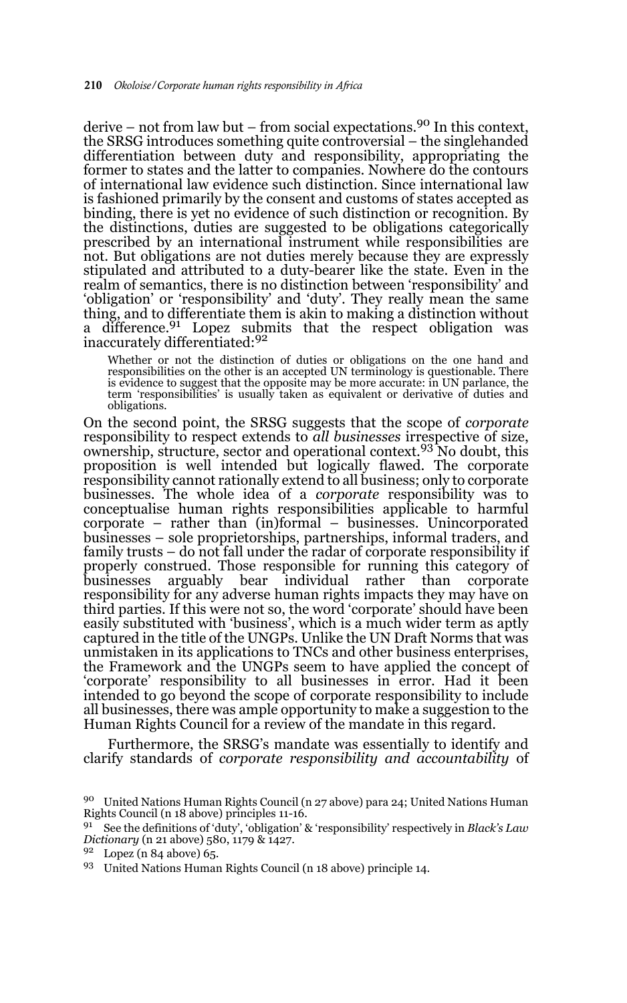derive – not from law but – from social expectations.<sup>90</sup> In this context, the SRSG introduces something quite controversial – the singlehanded differentiation between duty and responsibility, appropriating the former to states and the latter to companies. Nowhere do the contours of international law evidence such distinction. Since international law is fashioned primarily by the consent and customs of states accepted as binding, there is yet no evidence of such distinction or recognition. By the distinctions, duties are suggested to be obligations categorically prescribed by an international instrument while responsibilities are not. But obligations are not duties merely because they are expressly stipulated and attributed to a duty-bearer like the state. Even in the realm of semantics, there is no distinction between 'responsibility' and 'obligation' or 'responsibility' and 'duty'. They really mean the same thing, and to differentiate them is akin to making a distinction without a difference.<sup>91</sup> Lopez submits that the respect obligation was inaccurately differentiated:<sup>92</sup>

Whether or not the distinction of duties or obligations on the one hand and responsibilities on the other is an accepted UN terminology is questionable. There is evidence to suggest that the opposite may be more accurate: in UN parlance, the term 'responsibilities' is usually taken as equivalent or derivative of duties and obligations.

On the second point, the SRSG suggests that the scope of *corporate* responsibility to respect extends to *all businesses* irrespective of size, ownership, structure, sector and operational context.<sup>93</sup> No doubt, this proposition is well intended but logically flawed. The corporate responsibility cannot rationally extend to all business; only to corporate businesses. The whole idea of a *corporate* responsibility was to conceptualise human rights responsibilities applicable to harmful corporate – rather than (in)formal – businesses. Unincorporated businesses – sole proprietorships, partnerships, informal traders, and family trusts – do not fall under the radar of corporate responsibility if properly construed. Those responsible for running this category of businesses arguably bear individual rather than corporate responsibility for any adverse human rights impacts they may have on third parties. If this were not so, the word 'corporate' should have been easily substituted with 'business', which is a much wider term as aptly captured in the title of the UNGPs. Unlike the UN Draft Norms that was unmistaken in its applications to TNCs and other business enterprises, the Framework and the UNGPs seem to have applied the concept of 'corporate' responsibility to all businesses in error. Had it been intended to go beyond the scope of corporate responsibility to include all businesses, there was ample opportunity to make a suggestion to the Human Rights Council for a review of the mandate in this regard.

Furthermore, the SRSG's mandate was essentially to identify and clarify standards of *corporate responsibility and accountability* of

<sup>90</sup> United Nations Human Rights Council (n 27 above) para 24; United Nations Human Rights Council (n 18 above) principles 11-16.

<sup>91</sup> See the definitions of 'duty', 'obligation' & 'responsibility' respectively in *Black's Law Dictionary* (n 21 above) 580, 1179 & 1427.

 $92$  Lopez (n 84 above) 65.

<sup>93</sup> United Nations Human Rights Council (n 18 above) principle 14.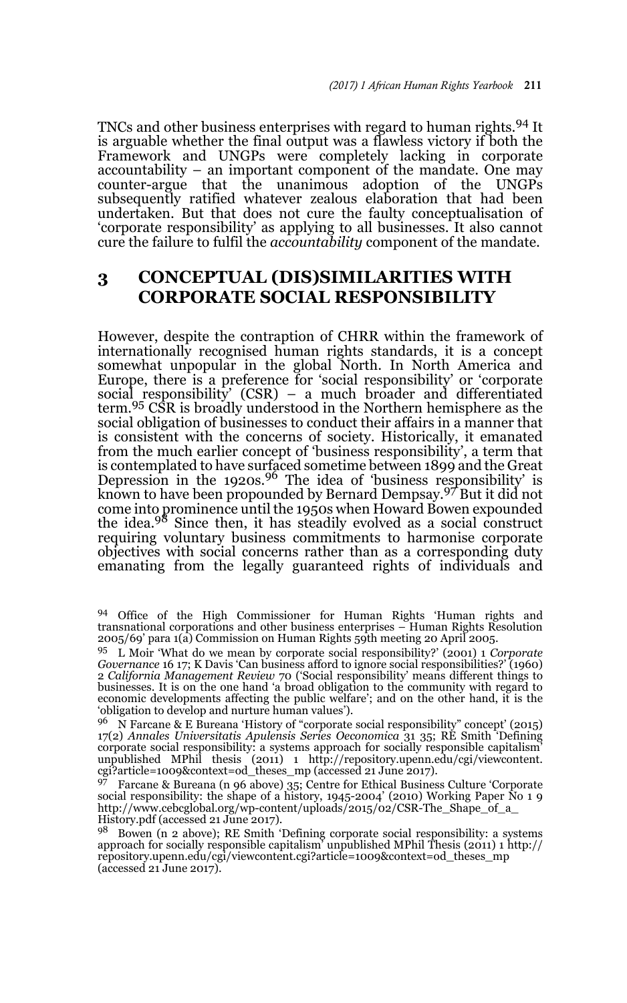TNCs and other business enterprises with regard to human rights.94 It is arguable whether the final output was a flawless victory if both the Framework and UNGPs were completely lacking in corporate accountability – an important component of the mandate. One may counter-argue that the unanimous adoption of the UNGPs subsequently ratified whatever zealous elaboration that had been undertaken. But that does not cure the faulty conceptualisation of 'corporate responsibility' as applying to all businesses. It also cannot cure the failure to fulfil the *accountability* component of the mandate.

# **3 CONCEPTUAL (DIS)SIMILARITIES WITH CORPORATE SOCIAL RESPONSIBILITY**

However, despite the contraption of CHRR within the framework of internationally recognised human rights standards, it is a concept somewhat unpopular in the global North. In North America and Europe, there is a preference for 'social responsibility' or 'corporate social responsibility' (CSR) – a much broader and differentiated<br>term.<sup>95</sup> CSR is broadly understood in the Northern hemisphere as the social obligation of businesses to conduct their affairs in a manner that is consistent with the concerns of society. Historically, it emanated from the much earlier concept of 'business responsibility', a term that is contemplated to have surfaced sometime between 1899 and the Great Depression in the 1920s.96 The idea of 'business responsibility' is known to have been propounded by Bernard Dempsay.97 But it did not come into prominence until the 1950s when Howard Bowen expounded the idea.98 Since then, it has steadily evolved as a social construct requiring voluntary business commitments to harmonise corporate objectives with social concerns rather than as a corresponding duty emanating from the legally guaranteed rights of individuals and

<sup>94</sup> Office of the High Commissioner for Human Rights 'Human rights and transnational corporations and other business enterprises – Human Rights Resolution 2005/69' para 1(a) Commission on Human Rights 59th meeting 20 April 2005.

<sup>95</sup> L Moir 'What do we mean by corporate social responsibility?' (2001) 1 *Corporate Governance* 16 17; K Davis 'Can business afford to ignore social responsibilities?' (1960) 2 *California Management Review* 70 ('Social responsibility' means different things to businesses. It is on the one hand 'a broad obligation to the community with regard to economic developments affecting the public welfare'; and on the other hand, it is the 'obligation to develop and nurture human values').

<sup>96</sup> N Farcane & E Bureana 'History of "corporate social responsibility" concept' (2015) 17(2) *Annales Universitatis Apulensis Series Oeconomica* 31 35; RE Smith 'Defining corporate social responsibility: a systems approach for socially responsible capitalism'<br>unpublished MPhil thesis (2011) 1 http://repository.upenn.edu/cgi/viewcontent.<br>cgi?article=1009&context=od\_theses\_mp (accessed 21 Jun

<sup>97</sup> Farcane & Bureana (n 96 above) 35; Centre for Ethical Business Culture 'Corporate social responsibility: the shape of a history, 1945-2004' (2010) Working Paper No 1 9 http://www.cebcglobal.org/wp-content/uploads/2015/02/CSR-The\_Shape\_of\_a\_ History.pdf (accessed 21 June 2017).

<sup>98</sup> Bowen (n 2 above); RE Smith 'Defining corporate social responsibility: a systems approach for socially responsible capitalism' unpublished MPhil Thesis (2011) 1 http:// repository.upenn.edu/cgi/viewcontent.cgi?article=1009&context=od\_theses\_mp (accessed 21 June 2017).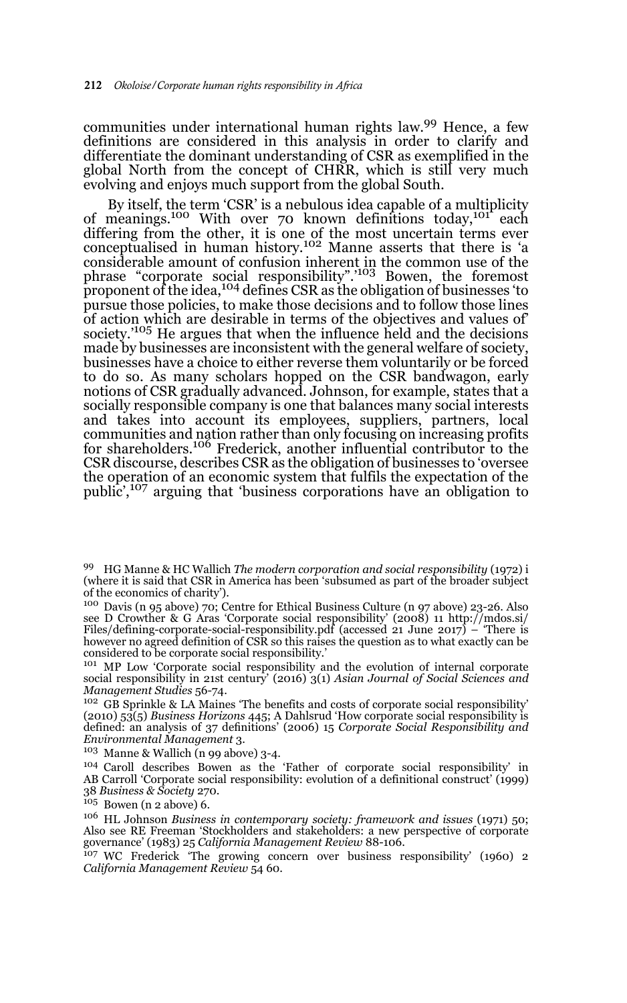communities under international human rights law.99 Hence, a few definitions are considered in this analysis in order to clarify and differentiate the dominant understanding of CSR as exemplified in the global North from the concept of CHRR, which is still very much evolving and enjoys much support from the global South.

By itself, the term 'CSR' is a nebulous idea capable of a multiplicity of meanings.<sup>100</sup> With over 70 known definitions today,<sup>101</sup> each differing from the other, it is one of the most uncertain terms ever conceptualised in human history.102 Manne asserts that there is 'a considerable amount of confusion inherent in the common use of the phrase "corporate social responsibility".'103 Bowen, the foremost proponent of the idea,<sup>104</sup> defines CSR as the obligation of businesses 'to pursue those policies, to make those decisions and to follow those lines of action which are desirable in terms of the objectives and values of' society.<sup>'105</sup> He argues that when the influence held and the decisions made by businesses are inconsistent with the general welfare of society, businesses have a choice to either reverse them voluntarily or be forced to do so. As many scholars hopped on the CSR bandwagon, early notions of CSR gradually advanced. Johnson, for example, states that a socially responsible company is one that balances many social interests and takes into account its employees, suppliers, partners, local communities and nation rather than only focusing on increasing profits for shareholders.106 Frederick, another influential contributor to the CSR discourse, describes CSR as the obligation of businesses to 'oversee the operation of an economic system that fulfils the expectation of the public',107 arguing that 'business corporations have an obligation to

<sup>100</sup> Davis (n 95 above) 70; Centre for Ethical Business Culture (n 97 above) 23-26. Also see D Crowther & G Aras 'Corporate social responsibility' (2008) 11 http://mdos.si/<br>Files/defining-corporate-social-responsibility.pdf (accessed 21 June 2017) – 'There is<br>however no agreed definition of CSR so this raises considered to be corporate social responsibility.'

<sup>101</sup> MP Low 'Corporate social responsibility and the evolution of internal corporate social responsibility in 21st century' (2016) 3(1) *Asian Journal of Social Sciences and Management Studies* 56-74.

<sup>102</sup> GB Sprinkle & LA Maines 'The benefits and costs of corporate social responsibility' (2010) 53(5) *Business Horizons* 445; A Dahlsrud 'How corporate social responsibility is defined: an analysis of 37 definitions' (2006) 15 *Corporate Social Responsibility and Environmental Management* 3.

<sup>103</sup> Manne & Wallich (n 99 above) 3-4.

<sup>104</sup> Caroll describes Bowen as the 'Father of corporate social responsibility' in AB Carroll 'Corporate social responsibility: evolution of a definitional construct' (1999) 38 *Business & Society* 270.

 $105$  Bowen (n 2 above) 6.

<sup>106</sup> HL Johnson *Business in contemporary society: framework and issues* (1971) 50; Also see RE Freeman 'Stockholders and stakeholders: a new perspective of corporate governance' (1983) 25 *California Management Review* 88-106.

<sup>107</sup> WC Frederick 'The growing concern over business responsibility' (1960) 2 *California Management Review* 54 60.

<sup>99</sup> HG Manne & HC Wallich *The modern corporation and social responsibility* (1972) i (where it is said that CSR in America has been 'subsumed as part of the broader subject of the economics of charity').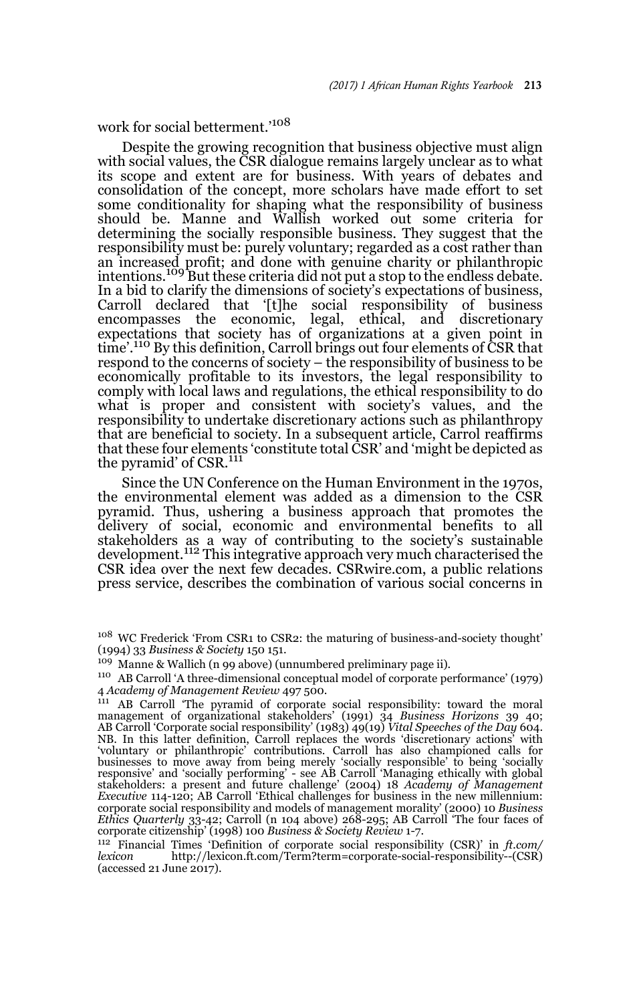work for social betterment.'<sup>108</sup>

Despite the growing recognition that business objective must align with social values, the CSR dialogue remains largely unclear as to what its scope and extent are for business. With years of debates and consolidation of the concept, more scholars have made effort to set some conditionality for shaping what the responsibility of business should be. Manne and Wallish worked out some criteria for determining the socially responsible business. They suggest that the responsibility must be: purely voluntary; regarded as a cost rather than an increased profit; and done with genuine charity or philanthropic<br>intentions.<sup>109</sup> But these criteria did not put a stop to the endless debate. In a bid to clarify the dimensions of society's expectations of business, Carroll declared that '[t]he social responsibility of business encompasses the economic, legal, ethical, and discretionary expectations that society has of organizations at a given point in time'.110 By this definition, Carroll brings out four elements of CSR that respond to the concerns of society – the responsibility of business to be economically profitable to its investors, the legal responsibility to comply with local laws and regulations, the ethical responsibility to do what is proper and consistent with society's values, and the responsibility to undertake discretionary actions such as philanthropy that are beneficial to society. In a subsequent article, Carrol reaffirms that these four elements 'constitute total CSR' and 'might be depicted as the pyramid' of CSR.<sup>111</sup>

Since the UN Conference on the Human Environment in the 1970s, the environmental element was added as a dimension to the CSR pyramid. Thus, ushering a business approach that promotes the delivery of social, economic and environmental benefits to all stakeholders as a way of contributing to the society's sustainable development.112 This integrative approach very much characterised the CSR idea over the next few decades. CSRwire.com, a public relations press service, describes the combination of various social concerns in

<sup>109</sup> Manne & Wallich (n 99 above) (unnumbered preliminary page ii).

<sup>&</sup>lt;sup>108</sup> WC Frederick 'From CSR1 to CSR2: the maturing of business-and-society thought' (1994) 33 *Business & Society* 150 151.

<sup>110</sup> AB Carroll 'A three-dimensional conceptual model of corporate performance' (1979) 4 *Academy of Management Review* 497 500.

<sup>&</sup>lt;sup>111</sup> AB Carroll 'The pyramid of corporate social responsibility: toward the moral management of organizational stakeholders' (1991) 34 *Business Horizons* 39 40; AB Carroll 'Corporate social responsibility' (1983) 49(19) *Vital Speeches of the Day* 604. NB. In this latter definition, Carroll replaces the words 'discretionary actions' with 'voluntary or philanthropic' contributions. Carroll has also championed calls for businesses to move away from being merely 'socially responsible' to being 'socially responsive' and 'socially performing' - see AB Carroll 'Managing ethically with global stakeholders: a present and future challenge' (2004) 18 *Academy of Management Executive* 114-120; AB Carroll 'Ethical challenges for business in the new millennium: corporate social responsibility and models of management morality' (2000) 10 *Business Ethics Quarterly* 33-42; Carroll (n 104 above) 268-295; AB Carroll 'The four faces of corporate citizenship' (1998) 100 *Business & Society Review* 1-7.

<sup>&</sup>lt;sup>112</sup> Financial Times 'Definition of corporate social responsibility (CSR)' in *ft.com/*<br>lexicon http://lexicon.ft.com/Term?term=corporate-social-responsibility--(CSR) *lexicon* http://lexicon.ft.com/Term?term=corporate-social-responsibility--(CSR) (accessed 21 June 2017).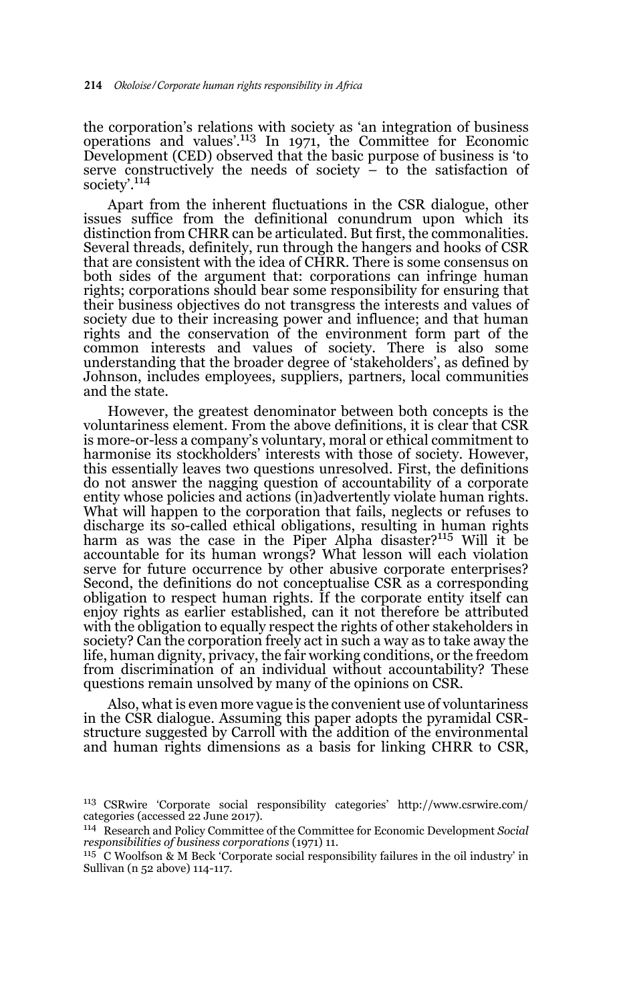the corporation's relations with society as 'an integration of business<br>operations and values'.<sup>113</sup> In 1971, the Committee for Economic Development (CED) observed that the basic purpose of business is 'to serve constructively the needs of society – to the satisfaction of society'.<sup>114</sup>

Apart from the inherent fluctuations in the CSR dialogue, other issues suffice from the definitional conundrum upon which its distinction from CHRR can be articulated. But first, the commonalities. Several threads, definitely, run through the hangers and hooks of CSR that are consistent with the idea of CHRR. There is some consensus on both sides of the argument that: corporations can infringe human rights; corporations should bear some responsibility for ensuring that their business objectives do not transgress the interests and values of society due to their increasing power and influence; and that human rights and the conservation of the environment form part of the common interests and values of society. There is also some understanding that the broader degree of 'stakeholders', as defined by Johnson, includes employees, suppliers, partners, local communities and the state.

However, the greatest denominator between both concepts is the voluntariness element. From the above definitions, it is clear that CSR is more-or-less a company's voluntary, moral or ethical commitment to harmonise its stockholders' interests with those of society. However, this essentially leaves two questions unresolved. First, the definitions do not answer the nagging question of accountability of a corporate entity whose policies and actions (in)advertently violate human rights. What will happen to the corporation that fails, neglects or refuses to discharge its so-called ethical obligations, resulting in human rights harm as was the case in the Piper Alpha disaster?<sup>115</sup> Will it be accountable for its human wrongs? What lesson will each violation serve for future occurrence by other abusive corporate enterprises? Second, the definitions do not conceptualise CSR as a corresponding obligation to respect human rights. If the corporate entity itself can enjoy rights as earlier established, can it not therefore be attributed with the obligation to equally respect the rights of other stakeholders in society? Can the corporation freely act in such a way as to take away the life, human dignity, privacy, the fair working conditions, or the freedom from discrimination of an individual without accountability? These questions remain unsolved by many of the opinions on CSR.

Also, what is even more vague is the convenient use of voluntariness in the CSR dialogue. Assuming this paper adopts the pyramidal CSRstructure suggested by Carroll with the addition of the environmental and human rights dimensions as a basis for linking CHRR to CSR,

<sup>113</sup> CSRwire 'Corporate social responsibility categories' http://www.csrwire.com/ categories (accessed 22 June 2017).

<sup>114</sup> Research and Policy Committee of the Committee for Economic Development *Social responsibilities of business corporations* (1971) 11.

<sup>115</sup> C Woolfson & M Beck 'Corporate social responsibility failures in the oil industry' in Sullivan (n 52 above) 114-117.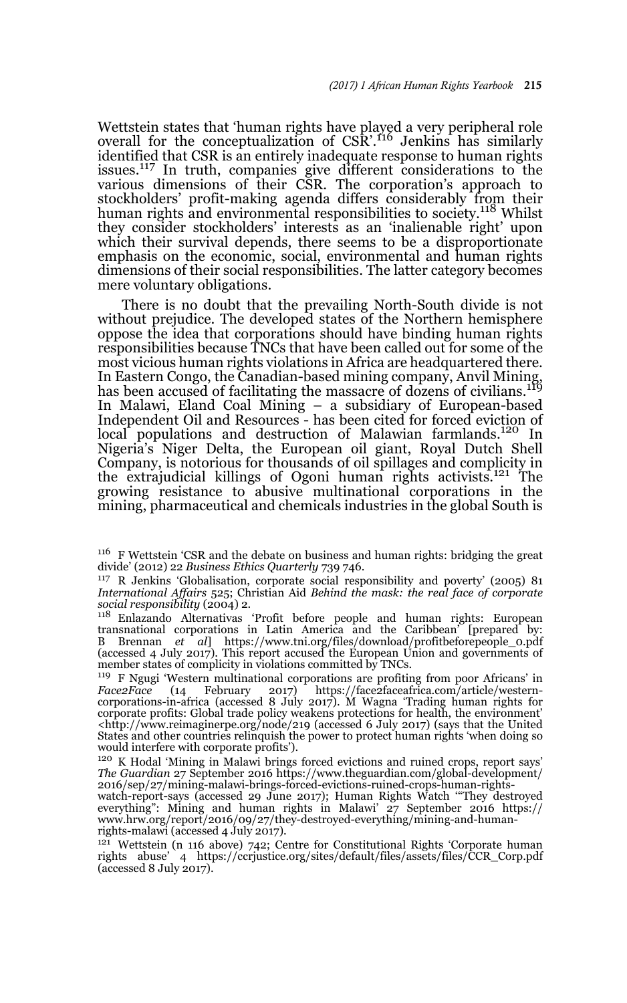Wettstein states that 'human rights have played a very peripheral role<br>overall for the conceptualization of CSR'.<sup>116</sup> Jenkins has similarly identified that CSR is an entirely inadequate response to human rights issues.<sup>117</sup> In truth, companies give different considerations to the various dimensions of their CSR. The corporation's approach to stockholders' profit-making agenda differs considerably from their human rights and environmental responsibilities to society.<sup>118</sup> Whilst they consider stockholders' interests as an 'inalienable right' upon which their survival depends, there seems to be a disproportionate emphasis on the economic, social, environmental and human rights dimensions of their social responsibilities. The latter category becomes mere voluntary obligations.

There is no doubt that the prevailing North-South divide is not without prejudice. The developed states of the Northern hemisphere oppose the idea that corporations should have binding human rights responsibilities because TNCs that have been called out for some of the most vicious human rights violations in Africa are headquartered there. In Eastern Congo, the Canadian-based mining company, Anvil Mining,<br>has been accused of facilitating the massacre of dozens of civilians.<sup>119</sup> In Malawi, Eland Coal Mining – a subsidiary of European-based Independent Oil and Resources - has been cited for forced eviction of local populations and destruction of Malawian farmlands.<sup>120</sup> In Nigeria's Niger Delta, the European oil giant, Royal Dutch Shell Company, is notorious for thousands of oil spillages and complicity in the extrajudicial killings of Ogoni human rights activists.121 The growing resistance to abusive multinational corporations in the mining, pharmaceutical and chemicals industries in the global South is

<sup>117</sup> R Jenkins 'Globalisation, corporate social responsibility and poverty' (2005) 81 *International Affairs* 525; Christian Aid *Behind the mask: the real face of corporate social responsibility* (2004) 2.

<sup>118</sup> Enlazando Alternativas 'Profit before people and human rights: European transnational corporations in Latin America and the Caribbean' [prepared by: B Brennan *et al*] https://www.tni.org/files/download/profitbeforepeople\_0.pdf (accessed 4 July 2017). This report accused the European Union and governments of member states of complicity in violations committed by TNCs.

<sup>119</sup> F Ngugi 'Western multinational corporations are profiting from poor Africans' in *Face2Face* (14 February 2017) https://face2faceafrica.com/article/western-corporations-in-africa (accessed 8 July 2017). M Wagna 'Trading human rights for corporate profits: Global trade policy weakens protections for health, the environment'  $\langle \text{http://www.reimagine:prog}/\text{node}/\text{219} \rangle$  (accessed 6 July 2017) (says that the United States and other countries relinquish the power to protect human rights 'when doing so would interfere with corporate profits').

<sup>120</sup> K Hodal 'Mining in Malawi brings forced evictions and ruined crops, report says' *The Guardian* 27 September 2016 https://www.theguardian.com/global-development/ 2016/sep/27/mining-malawi-brings-forced-evictions-ruined-crops-human-rights-

watch-report-says (accessed 29 June 2017); Human Rights Watch '"They destroyed everything": Mining and human rights in Malawi' 27 September 2016 https:// www.hrw.org/report/2016/09/27/they-destroyed-everything/mining-and-humanrights-malawi (accessed 4 July 2017).

<sup>121</sup> Wettstein (n 116 above) 742; Centre for Constitutional Rights 'Corporate human rights abuse' 4 https://ccrjustice.org/sites/default/files/assets/files/CCR\_Corp.pdf (accessed 8 July 2017).

<sup>116</sup> F Wettstein 'CSR and the debate on business and human rights: bridging the great divide' (2012) 22 *Business Ethics Quarterly* 739 746.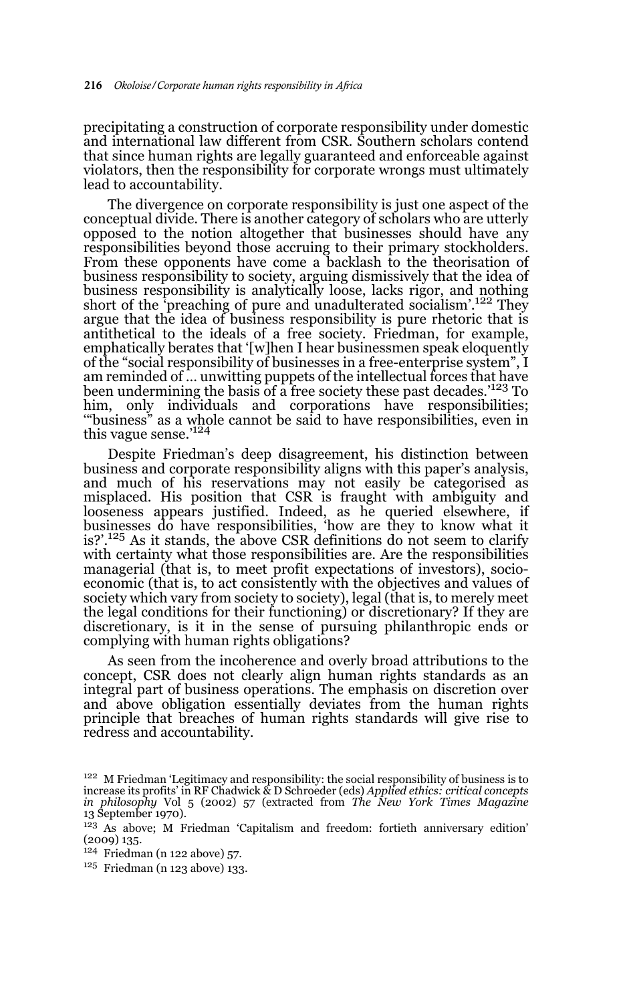precipitating a construction of corporate responsibility under domestic and international law different from CSR. Southern scholars contend that since human rights are legally guaranteed and enforceable against violators, then the responsibility for corporate wrongs must ultimately lead to accountability.

The divergence on corporate responsibility is just one aspect of the conceptual divide. There is another category of scholars who are utterly opposed to the notion altogether that businesses should have any responsibilities beyond those accruing to their primary stockholders. From these opponents have come a backlash to the theorisation of business responsibility to society, arguing dismissively that the idea of business responsibility is analytically loose, lacks rigor, and nothing short of the 'preaching of pure and unadulterated socialism'.<sup>122</sup> They argue that the idea of business responsibility is pure rhetoric that is antithetical to the ideals of a free society. Friedman, for example, emphatically berates that '[w]hen I hear businessmen speak eloquently of the "social responsibility of businesses in a free-enterprise system", I am reminded of … unwitting puppets of the intellectual forces that have been undermining the basis of a free society these past decades.<sup>'123</sup> To him, only individuals and corporations have responsibilities; '"business" as a whole cannot be said to have responsibilities, even in this vague sense.'<sup>124</sup>

Despite Friedman's deep disagreement, his distinction between business and corporate responsibility aligns with this paper's analysis, and much of his reservations may not easily be categorised as misplaced. His position that CSR is fraught with ambiguity and looseness appears justified. Indeed, as he queried elsewhere, if businesses do have responsibilities, 'how are they to know what it is?'. $125$  As it stands, the above CSR definitions do not seem to clarify with certainty what those responsibilities are. Are the responsibilities managerial (that is, to meet profit expectations of investors), socioeconomic (that is, to act consistently with the objectives and values of society which vary from society to society), legal (that is, to merely meet the legal conditions for their functioning) or discretionary? If they are discretionary, is it in the sense of pursuing philanthropic ends or complying with human rights obligations?

As seen from the incoherence and overly broad attributions to the concept, CSR does not clearly align human rights standards as an integral part of business operations. The emphasis on discretion over and above obligation essentially deviates from the human rights principle that breaches of human rights standards will give rise to redress and accountability.

<sup>&</sup>lt;sup>122</sup> M Friedman 'Legitimacy and responsibility: the social responsibility of business is to increase its profits' in RF Chadwick & D Schroeder (eds) *Applied ethics: critical concepts in philosophy* Vol 5 (2002) 57 (extracted from *The New York Times Magazine* 13 September 1970).

<sup>123</sup> As above; M Friedman 'Capitalism and freedom: fortieth anniversary edition' (2009) 135.

 $124$  Friedman (n 122 above) 57.

<sup>125</sup> Friedman (n 123 above) 133.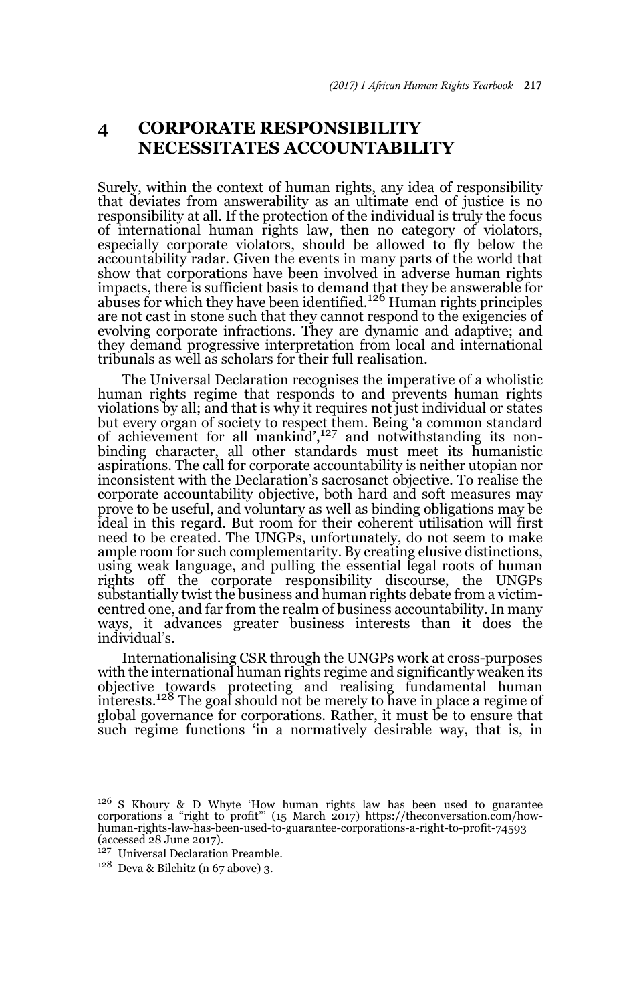# **4 CORPORATE RESPONSIBILITY NECESSITATES ACCOUNTABILITY**

Surely, within the context of human rights, any idea of responsibility that deviates from answerability as an ultimate end of justice is no responsibility at all. If the protection of the individual is truly the focus of international human rights law, then no category of violators, especially corporate violators, should be allowed to fly below the accountability radar. Given the events in many parts of the world that show that corporations have been involved in adverse human rights impacts, there is sufficient basis to demand that they be answerable for<br>abuses for which they have been identified.<sup>126</sup> Human rights principles are not cast in stone such that they cannot respond to the exigencies of evolving corporate infractions. They are dynamic and adaptive; and they demand progressive interpretation from local and international tribunals as well as scholars for their full realisation.

The Universal Declaration recognises the imperative of a wholistic human rights regime that responds to and prevents human rights violations by all; and that is why it requires not just individual or states but every organ of society to respect them. Being 'a common standard of achievement for all mankind',127 and notwithstanding its nonbinding character, all other standards must meet its humanistic aspirations. The call for corporate accountability is neither utopian nor inconsistent with the Declaration's sacrosanct objective. To realise the corporate accountability objective, both hard and soft measures may prove to be useful, and voluntary as well as binding obligations may be ideal in this regard. But room for their coherent utilisation will first need to be created. The UNGPs, unfortunately, do not seem to make ample room for such complementarity. By creating elusive distinctions, using weak language, and pulling the essential legal roots of human rights off the corporate responsibility discourse, the UNGPs substantially twist the business and human rights debate from a victimcentred one, and far from the realm of business accountability. In many ways, it advances greater business interests than it does the individual's.

Internationalising CSR through the UNGPs work at cross-purposes with the international human rights regime and significantly weaken its objective towards protecting and realising fundamental human<br>interests.<sup>128</sup> The goal should not be merely to have in place a regime of global governance for corporations. Rather, it must be to ensure that such regime functions 'in a normatively desirable way, that is, in

- <sup>127</sup> Universal Declaration Preamble.
- $128$  Deva & Bilchitz (n 67 above) 3.

<sup>&</sup>lt;sup>126</sup> S Khoury & D Whyte 'How human rights law has been used to guarantee corporations a "right to profit"' (15 March 2017) https://theconversation.com/how-human-rights-law-has-been-used-to-guarantee-corporations-a-right-to-profit-74593 (accessed 28 June 2017).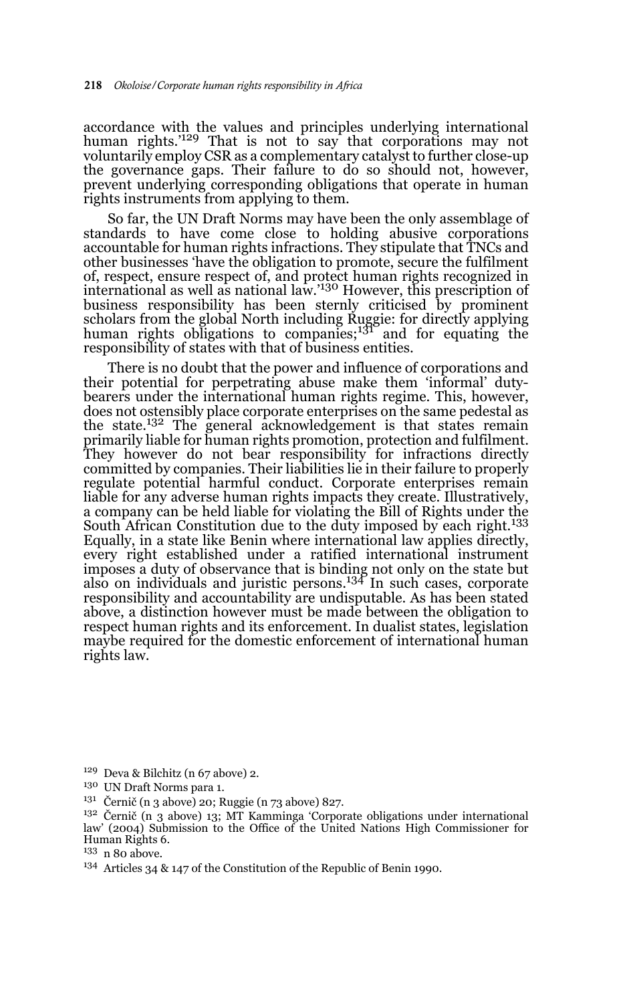accordance with the values and principles underlying international<br>human rights.'<sup>129</sup> That is not to say that corporations may not voluntarily employ CSR as a complementary catalyst to further close-up the governance gaps. Their failure to do so should not, however, prevent underlying corresponding obligations that operate in human rights instruments from applying to them.

So far, the UN Draft Norms may have been the only assemblage of standards to have come close to holding abusive corporations accountable for human rights infractions. They stipulate that TNCs and other businesses 'have the obligation to promote, secure the fulfilment of, respect, ensure respect of, and protect human rights recognized in international as well as national law.'130 However, this prescription of business responsibility has been sternly criticised by prominent scholars from the global North including Ruggie: for directly applying human rights obligations to companies;<sup>131</sup> and for equating the responsibility of states with that of business entities.

There is no doubt that the power and influence of corporations and their potential for perpetrating abuse make them 'informal' dutybearers under the international human rights regime. This, however, does not ostensibly place corporate enterprises on the same pedestal as the state.<sup>132</sup> The general acknowledgement is that states remain primarily liable for human rights promotion, protection and fulfilment. They however do not bear responsibility for infractions directly committed by companies. Their liabilities lie in their failure to properly regulate potential harmful conduct. Corporate enterprises remain liable for any adverse human rights impacts they create. Illustratively, a company can be held liable for violating the Bill of Rights under the South African Constitution due to the duty imposed by each right.<sup>133</sup> Equally, in a state like Benin where international law applies directly, every right established under a ratified international instrument imposes a duty of observance that is binding not only on the state but also on individuals and juristic persons.134 In such cases, corporate responsibility and accountability are undisputable. As has been stated above, a distinction however must be made between the obligation to respect human rights and its enforcement. In dualist states, legislation maybe required for the domestic enforcement of international human rights law.

 $129$  Deva & Bilchitz (n 67 above) 2.

<sup>130</sup> UN Draft Norms para 1.

 $131$  Černič (n 3 above) 20; Ruggie (n 73 above) 827.

<sup>132</sup> Černič (n 3 above) 13; MT Kamminga 'Corporate obligations under international law' (2004) Submission to the Office of the United Nations High Commissioner for Human Rights 6.

<sup>133</sup> n 80 above.

<sup>134</sup> Articles 34 & 147 of the Constitution of the Republic of Benin 1990.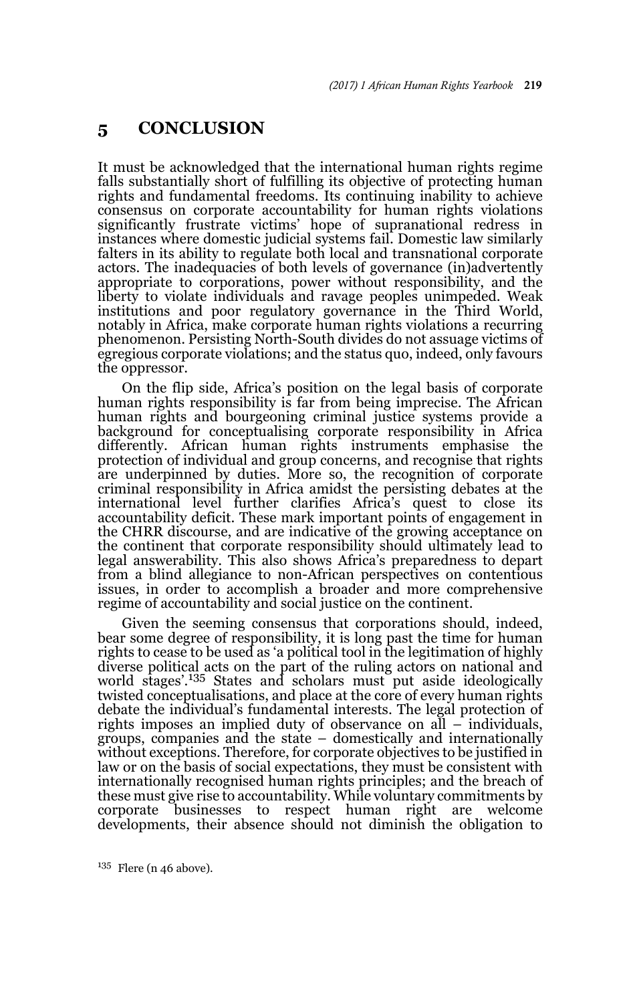### **5 CONCLUSION**

It must be acknowledged that the international human rights regime falls substantially short of fulfilling its objective of protecting human rights and fundamental freedoms. Its continuing inability to achieve consensus on corporate accountability for human rights violations significantly frustrate victims' hope of supranational redress in instances where domestic judicial systems fail. Domestic law similarly falters in its ability to regulate both local and transnational corporate actors. The inadequacies of both levels of governance (in)advertently appropriate to corporations, power without responsibility, and the liberty to violate individuals and ravage peoples unimpeded. Weak institutions and poor regulatory governance in the Third World, notably in Africa, make corporate human rights violations a recurring phenomenon. Persisting North-South divides do not assuage victims of egregious corporate violations; and the status quo, indeed, only favours the oppressor.

On the flip side, Africa's position on the legal basis of corporate human rights responsibility is far from being imprecise. The African human rights and bourgeoning criminal justice systems provide a background for conceptualising corporate responsibility in Africa differently. African human rights instruments emphasise the protection of individual and group concerns, and recognise that rights are underpinned by duties. More so, the recognition of corporate criminal responsibility in Africa amidst the persisting debates at the international level further clarifies Africa's quest to close its accountability deficit. These mark important points of engagement in the CHRR discourse, and are indicative of the growing acceptance on the continent that corporate responsibility should ultimately lead to legal answerability. This also shows Africa's preparedness to depart from a blind allegiance to non-African perspectives on contentious issues, in order to accomplish a broader and more comprehensive regime of accountability and social justice on the continent.

Given the seeming consensus that corporations should, indeed, bear some degree of responsibility, it is long past the time for human rights to cease to be used as 'a political tool in the legitimation of highly diverse political acts on the part of the ruling actors on national and world stages'.<sup>135</sup> States and scholars must put aside ideologically twisted conceptualisations, and place at the core of every human rights debate the individual's fundamental interests. The legal protection of rights imposes an implied duty of observance on all – individuals, groups, companies and the state – domestically and internationally without exceptions. Therefore, for corporate objectives to be justified in law or on the basis of social expectations, they must be consistent with internationally recognised human rights principles; and the breach of these must give rise to accountability. While voluntary commitments by corporate businesses to respect human right are welcome developments, their absence should not diminish the obligation to

 $135$  Flere (n 46 above).